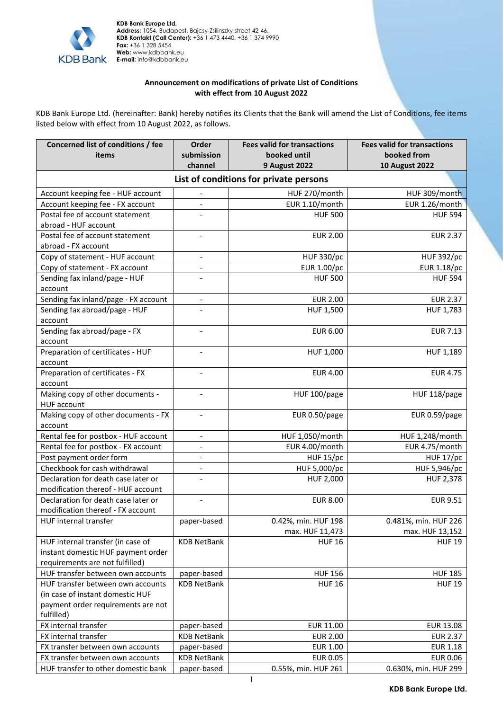

## **Announcement on modifications of private List of Conditions with effect from 10 August 2022**

KDB Bank Europe Ltd. (hereinafter: Bank) hereby notifies its Clients that the Bank will amend the List of Conditions, fee items listed below with effect from 10 August 2022, as follows.

| Concerned list of conditions / fee   | Order                        | <b>Fees valid for transactions</b>     | <b>Fees valid for transactions</b> |
|--------------------------------------|------------------------------|----------------------------------------|------------------------------------|
| items                                | submission                   | booked until                           | booked from                        |
|                                      | channel                      | <b>9 August 2022</b>                   | <b>10 August 2022</b>              |
|                                      |                              | List of conditions for private persons |                                    |
| Account keeping fee - HUF account    |                              | HUF 270/month                          | HUF 309/month                      |
| Account keeping fee - FX account     |                              | EUR 1.10/month                         | EUR 1.26/month                     |
| Postal fee of account statement      |                              | <b>HUF 500</b>                         | <b>HUF 594</b>                     |
| abroad - HUF account                 |                              |                                        |                                    |
| Postal fee of account statement      |                              | <b>EUR 2.00</b>                        | <b>EUR 2.37</b>                    |
| abroad - FX account                  |                              |                                        |                                    |
| Copy of statement - HUF account      | $\qquad \qquad \blacksquare$ | <b>HUF 330/pc</b>                      | <b>HUF 392/pc</b>                  |
| Copy of statement - FX account       | $\qquad \qquad \blacksquare$ | EUR 1.00/pc                            | EUR 1.18/pc                        |
| Sending fax inland/page - HUF        |                              | <b>HUF 500</b>                         | <b>HUF 594</b>                     |
| account                              |                              |                                        |                                    |
| Sending fax inland/page - FX account | $\qquad \qquad -$            | <b>EUR 2.00</b>                        | <b>EUR 2.37</b>                    |
| Sending fax abroad/page - HUF        |                              | HUF 1,500                              | HUF 1,783                          |
| account                              |                              |                                        |                                    |
| Sending fax abroad/page - FX         | $\overline{\phantom{a}}$     | <b>EUR 6.00</b>                        | <b>EUR 7.13</b>                    |
| account                              |                              |                                        |                                    |
| Preparation of certificates - HUF    | $\qquad \qquad \blacksquare$ | HUF 1,000                              | HUF 1,189                          |
| account                              |                              |                                        |                                    |
| Preparation of certificates - FX     | $\blacksquare$               | <b>EUR 4.00</b>                        | <b>EUR 4.75</b>                    |
| account                              |                              |                                        |                                    |
| Making copy of other documents -     | $\qquad \qquad \blacksquare$ | HUF 100/page                           | HUF 118/page                       |
| <b>HUF account</b>                   |                              |                                        |                                    |
| Making copy of other documents - FX  | $\frac{1}{2}$                | EUR 0.50/page                          | EUR 0.59/page                      |
| account                              |                              |                                        |                                    |
| Rental fee for postbox - HUF account | $\blacksquare$               | HUF 1,050/month                        | <b>HUF 1,248/month</b>             |
| Rental fee for postbox - FX account  | $\overline{\phantom{a}}$     | EUR 4.00/month                         | EUR 4.75/month                     |
| Post payment order form              | $\qquad \qquad \blacksquare$ | <b>HUF 15/pc</b>                       | <b>HUF 17/pc</b>                   |
| Checkbook for cash withdrawal        | $\overline{a}$               | HUF 5,000/pc                           | HUF 5,946/pc                       |
| Declaration for death case later or  |                              | HUF 2,000                              | <b>HUF 2,378</b>                   |
| modification thereof - HUF account   |                              |                                        |                                    |
| Declaration for death case later or  | $\qquad \qquad \blacksquare$ | <b>EUR 8.00</b>                        | <b>EUR 9.51</b>                    |
| modification thereof - FX account    |                              |                                        |                                    |
| HUF internal transfer                | paper-based                  | 0.42%, min. HUF 198                    | 0.481%, min. HUF 226               |
|                                      |                              | max. HUF 11,473                        | max. HUF 13,152                    |
| HUF internal transfer (in case of    | <b>KDB NetBank</b>           | <b>HUF 16</b>                          | <b>HUF 19</b>                      |
| instant domestic HUF payment order   |                              |                                        |                                    |
| requirements are not fulfilled)      |                              |                                        |                                    |
| HUF transfer between own accounts    | paper-based                  | <b>HUF 156</b>                         | <b>HUF 185</b>                     |
| HUF transfer between own accounts    | <b>KDB NetBank</b>           | <b>HUF 16</b>                          | <b>HUF 19</b>                      |
| (in case of instant domestic HUF     |                              |                                        |                                    |
| payment order requirements are not   |                              |                                        |                                    |
| fulfilled)                           |                              |                                        |                                    |
| FX internal transfer                 | paper-based                  | EUR 11.00                              | <b>EUR 13.08</b>                   |
| FX internal transfer                 | <b>KDB NetBank</b>           | <b>EUR 2.00</b>                        | <b>EUR 2.37</b>                    |
| FX transfer between own accounts     | paper-based                  | <b>EUR 1.00</b>                        | <b>EUR 1.18</b>                    |
| FX transfer between own accounts     | <b>KDB NetBank</b>           | <b>EUR 0.05</b>                        | <b>EUR 0.06</b>                    |
| HUF transfer to other domestic bank  | paper-based                  | 0.55%, min. HUF 261                    | 0.630%, min. HUF 299               |

1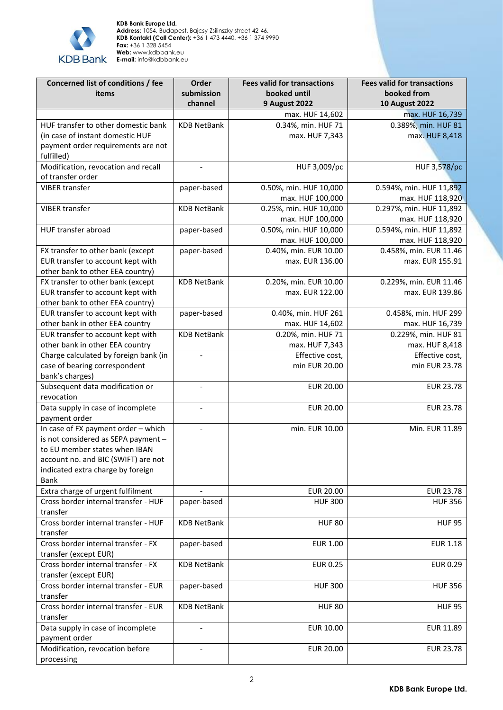

| Concerned list of conditions / fee                                     | Order                    | <b>Fees valid for transactions</b>   | <b>Fees valid for transactions</b> |
|------------------------------------------------------------------------|--------------------------|--------------------------------------|------------------------------------|
| items                                                                  | submission               | booked until                         | booked from                        |
|                                                                        | channel                  | <b>9 August 2022</b>                 | <b>10 August 2022</b>              |
| HUF transfer to other domestic bank                                    |                          | max. HUF 14,602                      | max. HUF 16,739                    |
| (in case of instant domestic HUF                                       | <b>KDB NetBank</b>       | 0.34%, min. HUF 71<br>max. HUF 7,343 | 0.389%, min. HUF 81                |
| payment order requirements are not                                     |                          |                                      | max. HUF 8,418                     |
| fulfilled)                                                             |                          |                                      |                                    |
| Modification, revocation and recall                                    | $\overline{\phantom{0}}$ | HUF 3,009/pc                         | <b>HUF 3,578/pc</b>                |
| of transfer order                                                      |                          |                                      |                                    |
| <b>VIBER transfer</b>                                                  | paper-based              | 0.50%, min. HUF 10,000               | 0.594%, min. HUF 11,892            |
|                                                                        |                          | max. HUF 100,000                     | max. HUF 118,920                   |
| <b>VIBER transfer</b>                                                  | <b>KDB NetBank</b>       | 0.25%, min. HUF 10,000               | 0.297%, min. HUF 11,892            |
|                                                                        |                          | max. HUF 100,000                     | max. HUF 118,920                   |
| HUF transfer abroad                                                    | paper-based              | 0.50%, min. HUF 10,000               | 0.594%, min. HUF 11,892            |
|                                                                        |                          | max. HUF 100,000                     | max. HUF 118,920                   |
| FX transfer to other bank (except                                      | paper-based              | 0.40%, min. EUR 10.00                | 0.458%, min. EUR 11.46             |
| EUR transfer to account kept with                                      |                          | max. EUR 136.00                      | max. EUR 155.91                    |
| other bank to other EEA country)                                       |                          |                                      |                                    |
| FX transfer to other bank (except                                      | <b>KDB NetBank</b>       | 0.20%, min. EUR 10.00                | 0.229%, min. EUR 11.46             |
| EUR transfer to account kept with                                      |                          | max. EUR 122.00                      | max. EUR 139.86                    |
| other bank to other EEA country)                                       |                          |                                      |                                    |
| EUR transfer to account kept with                                      | paper-based              | 0.40%, min. HUF 261                  | 0.458%, min. HUF 299               |
| other bank in other EEA country                                        |                          | max. HUF 14,602                      | max. HUF 16,739                    |
| EUR transfer to account kept with                                      | <b>KDB NetBank</b>       | 0.20%, min. HUF 71                   | 0.229%, min. HUF 81                |
| other bank in other EEA country                                        |                          | max. HUF 7,343<br>Effective cost,    | max. HUF 8,418<br>Effective cost,  |
| Charge calculated by foreign bank (in<br>case of bearing correspondent |                          | min EUR 20.00                        | min EUR 23.78                      |
| bank's charges)                                                        |                          |                                      |                                    |
| Subsequent data modification or                                        | $\overline{a}$           | EUR 20.00                            | <b>EUR 23.78</b>                   |
| revocation                                                             |                          |                                      |                                    |
| Data supply in case of incomplete                                      | $\overline{a}$           | <b>EUR 20.00</b>                     | <b>EUR 23.78</b>                   |
| payment order                                                          |                          |                                      |                                    |
| In case of FX payment order - which                                    |                          | min. EUR 10.00                       | Min. EUR 11.89                     |
| is not considered as SEPA payment -                                    |                          |                                      |                                    |
| to EU member states when IBAN                                          |                          |                                      |                                    |
| account no. and BIC (SWIFT) are not                                    |                          |                                      |                                    |
| indicated extra charge by foreign                                      |                          |                                      |                                    |
| Bank                                                                   |                          |                                      |                                    |
| Extra charge of urgent fulfilment                                      |                          | <b>EUR 20.00</b>                     | <b>EUR 23.78</b>                   |
| Cross border internal transfer - HUF<br>transfer                       | paper-based              | <b>HUF 300</b>                       | <b>HUF 356</b>                     |
| Cross border internal transfer - HUF                                   | <b>KDB NetBank</b>       | <b>HUF 80</b>                        | <b>HUF 95</b>                      |
| transfer                                                               |                          |                                      |                                    |
| Cross border internal transfer - FX                                    | paper-based              | <b>EUR 1.00</b>                      | <b>EUR 1.18</b>                    |
| transfer (except EUR)<br>Cross border internal transfer - FX           |                          |                                      |                                    |
| transfer (except EUR)                                                  | <b>KDB NetBank</b>       | <b>EUR 0.25</b>                      | <b>EUR 0.29</b>                    |
| Cross border internal transfer - EUR                                   | paper-based              | <b>HUF 300</b>                       | <b>HUF 356</b>                     |
| transfer                                                               |                          |                                      |                                    |
| Cross border internal transfer - EUR                                   | <b>KDB NetBank</b>       | <b>HUF 80</b>                        | <b>HUF 95</b>                      |
| transfer                                                               |                          |                                      |                                    |
| Data supply in case of incomplete                                      |                          | EUR 10.00                            | EUR 11.89                          |
| payment order                                                          |                          |                                      |                                    |
| Modification, revocation before                                        |                          | EUR 20.00                            | <b>EUR 23.78</b>                   |
| processing                                                             |                          |                                      |                                    |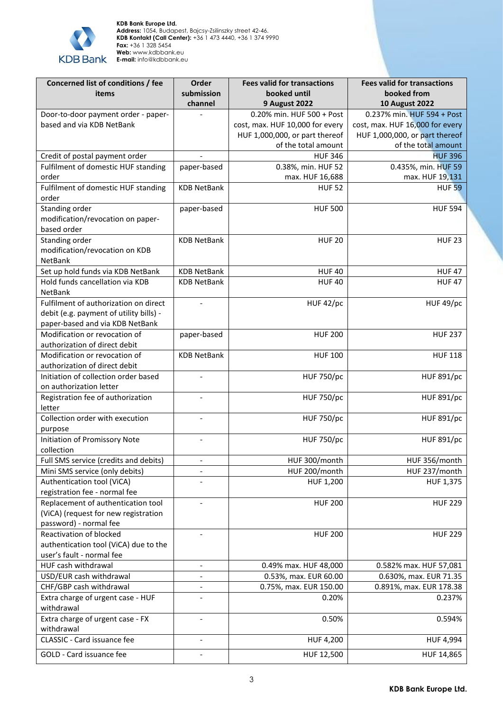

| Concerned list of conditions / fee<br>items     | Order<br>submission          | <b>Fees valid for transactions</b><br>booked until | <b>Fees valid for transactions</b><br>booked from |
|-------------------------------------------------|------------------------------|----------------------------------------------------|---------------------------------------------------|
|                                                 | channel                      | <b>9 August 2022</b>                               | <b>10 August 2022</b>                             |
| Door-to-door payment order - paper-             |                              | 0.20% min. HUF 500 + Post                          | 0.237% min. HUF 594 + Post                        |
| based and via KDB NetBank                       |                              | cost, max. HUF 10,000 for every                    | cost, max. HUF 16,000 for every                   |
|                                                 |                              | HUF 1,000,000, or part thereof                     | HUF 1,000,000, or part thereof                    |
|                                                 |                              | of the total amount                                | of the total amount                               |
| Credit of postal payment order                  |                              | <b>HUF 346</b>                                     | <b>HUF 396</b>                                    |
| Fulfilment of domestic HUF standing             | paper-based                  | 0.38%, min. HUF 52                                 | 0.435%, min. HUF 59                               |
| order                                           |                              | max. HUF 16,688                                    | max. HUF 19,131                                   |
| Fulfilment of domestic HUF standing             | <b>KDB NetBank</b>           | <b>HUF 52</b>                                      | <b>HUF 59</b>                                     |
| order                                           |                              |                                                    |                                                   |
| Standing order                                  | paper-based                  | <b>HUF 500</b>                                     | <b>HUF 594</b>                                    |
| modification/revocation on paper-               |                              |                                                    |                                                   |
| based order                                     |                              |                                                    |                                                   |
| Standing order                                  | <b>KDB NetBank</b>           | <b>HUF 20</b>                                      | <b>HUF 23</b>                                     |
| modification/revocation on KDB                  |                              |                                                    |                                                   |
| NetBank                                         |                              |                                                    |                                                   |
| Set up hold funds via KDB NetBank               | <b>KDB NetBank</b>           | <b>HUF 40</b>                                      | <b>HUF 47</b>                                     |
| Hold funds cancellation via KDB                 | <b>KDB NetBank</b>           | <b>HUF 40</b>                                      | <b>HUF 47</b>                                     |
| <b>NetBank</b>                                  |                              |                                                    |                                                   |
| Fulfilment of authorization on direct           |                              | HUF 42/pc                                          | HUF 49/pc                                         |
| debit (e.g. payment of utility bills) -         |                              |                                                    |                                                   |
| paper-based and via KDB NetBank                 |                              |                                                    |                                                   |
| Modification or revocation of                   | paper-based                  | <b>HUF 200</b>                                     | <b>HUF 237</b>                                    |
| authorization of direct debit                   |                              |                                                    |                                                   |
| Modification or revocation of                   | <b>KDB NetBank</b>           | <b>HUF 100</b>                                     | <b>HUF 118</b>                                    |
| authorization of direct debit                   |                              |                                                    |                                                   |
| Initiation of collection order based            | $\overline{a}$               | <b>HUF 750/pc</b>                                  | <b>HUF 891/pc</b>                                 |
| on authorization letter                         |                              |                                                    |                                                   |
| Registration fee of authorization               |                              | <b>HUF 750/pc</b>                                  | <b>HUF 891/pc</b>                                 |
| letter                                          |                              |                                                    |                                                   |
| Collection order with execution                 |                              | <b>HUF 750/pc</b>                                  | <b>HUF 891/pc</b>                                 |
| purpose                                         |                              |                                                    |                                                   |
| Initiation of Promissory Note                   |                              | <b>HUF 750/pc</b>                                  | <b>HUF 891/pc</b>                                 |
| collection                                      |                              |                                                    |                                                   |
| Full SMS service (credits and debits)           | $\qquad \qquad \blacksquare$ | HUF 300/month                                      | HUF 356/month                                     |
| Mini SMS service (only debits)                  | $\overline{\phantom{0}}$     | HUF 200/month                                      | HUF 237/month                                     |
| Authentication tool (ViCA)                      |                              | HUF 1,200                                          | HUF 1,375                                         |
| registration fee - normal fee                   |                              |                                                    |                                                   |
| Replacement of authentication tool              | $\overline{a}$               | <b>HUF 200</b>                                     | <b>HUF 229</b>                                    |
| (ViCA) (request for new registration            |                              |                                                    |                                                   |
| password) - normal fee                          |                              |                                                    |                                                   |
| Reactivation of blocked                         | $\overline{a}$               | <b>HUF 200</b>                                     | <b>HUF 229</b>                                    |
| authentication tool (ViCA) due to the           |                              |                                                    |                                                   |
| user's fault - normal fee                       |                              |                                                    |                                                   |
| HUF cash withdrawal                             | $\qquad \qquad \blacksquare$ | 0.49% max. HUF 48,000                              | 0.582% max. HUF 57,081                            |
| USD/EUR cash withdrawal                         | $\overline{a}$               | 0.53%, max. EUR 60.00                              | 0.630%, max. EUR 71.35                            |
| CHF/GBP cash withdrawal                         | $\overline{\phantom{0}}$     | 0.75%, max. EUR 150.00                             | 0.891%, max. EUR 178.38                           |
| Extra charge of urgent case - HUF<br>withdrawal | $\overline{\phantom{0}}$     | 0.20%                                              | 0.237%                                            |
|                                                 |                              |                                                    |                                                   |
| Extra charge of urgent case - FX<br>withdrawal  | $\qquad \qquad \blacksquare$ | 0.50%                                              | 0.594%                                            |
| CLASSIC - Card issuance fee                     | $\overline{\phantom{a}}$     | <b>HUF 4,200</b>                                   | <b>HUF 4,994</b>                                  |
|                                                 |                              |                                                    |                                                   |
| GOLD - Card issuance fee                        |                              | HUF 12,500                                         | HUF 14,865                                        |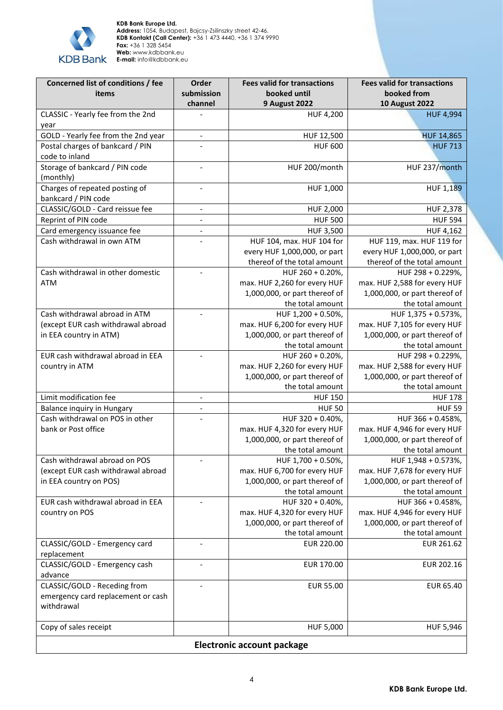

| Concerned list of conditions / fee<br>items           | Order<br>submission<br>channel | <b>Fees valid for transactions</b><br>booked until<br><b>9 August 2022</b> | <b>Fees valid for transactions</b><br>booked from<br><b>10 August 2022</b> |  |  |
|-------------------------------------------------------|--------------------------------|----------------------------------------------------------------------------|----------------------------------------------------------------------------|--|--|
| CLASSIC - Yearly fee from the 2nd<br>year             |                                | <b>HUF 4,200</b>                                                           | <b>HUF 4,994</b>                                                           |  |  |
| GOLD - Yearly fee from the 2nd year                   | $\qquad \qquad \blacksquare$   | HUF 12,500                                                                 | <b>HUF 14,865</b>                                                          |  |  |
| Postal charges of bankcard / PIN<br>code to inland    |                                | <b>HUF 600</b>                                                             | <b>HUF 713</b>                                                             |  |  |
| Storage of bankcard / PIN code<br>(monthly)           | $\overline{\phantom{a}}$       | HUF 200/month                                                              | HUF 237/month                                                              |  |  |
| Charges of repeated posting of<br>bankcard / PIN code |                                | HUF 1,000                                                                  | HUF 1,189                                                                  |  |  |
| CLASSIC/GOLD - Card reissue fee                       | $\qquad \qquad \blacksquare$   | HUF 2,000                                                                  | HUF 2,378                                                                  |  |  |
| Reprint of PIN code                                   |                                | <b>HUF 500</b>                                                             | <b>HUF 594</b>                                                             |  |  |
| Card emergency issuance fee                           | $\qquad \qquad -$              | <b>HUF 3,500</b>                                                           | HUF 4,162                                                                  |  |  |
| Cash withdrawal in own ATM                            |                                | HUF 104, max. HUF 104 for                                                  | HUF 119, max. HUF 119 for                                                  |  |  |
|                                                       |                                | every HUF 1,000,000, or part                                               | every HUF 1,000,000, or part                                               |  |  |
|                                                       |                                | thereof of the total amount                                                | thereof of the total amount                                                |  |  |
| Cash withdrawal in other domestic                     |                                | HUF 260 + 0.20%,                                                           | HUF 298 + 0.229%,                                                          |  |  |
| ATM                                                   |                                | max. HUF 2,260 for every HUF                                               | max. HUF 2,588 for every HUF                                               |  |  |
|                                                       |                                | 1,000,000, or part thereof of                                              | 1,000,000, or part thereof of                                              |  |  |
|                                                       |                                | the total amount                                                           | the total amount                                                           |  |  |
| Cash withdrawal abroad in ATM                         |                                | HUF 1,200 + 0.50%,                                                         | HUF 1,375 + 0.573%,                                                        |  |  |
| (except EUR cash withdrawal abroad                    |                                | max. HUF 6,200 for every HUF                                               | max. HUF 7,105 for every HUF                                               |  |  |
| in EEA country in ATM)                                |                                | 1,000,000, or part thereof of                                              | 1,000,000, or part thereof of                                              |  |  |
|                                                       |                                | the total amount                                                           | the total amount                                                           |  |  |
| EUR cash withdrawal abroad in EEA                     | $\overline{\phantom{a}}$       | HUF 260 + 0.20%,                                                           | HUF 298 + 0.229%,                                                          |  |  |
| country in ATM                                        |                                | max. HUF 2,260 for every HUF                                               | max. HUF 2,588 for every HUF                                               |  |  |
|                                                       |                                | 1,000,000, or part thereof of<br>the total amount                          | 1,000,000, or part thereof of<br>the total amount                          |  |  |
| Limit modification fee                                |                                | <b>HUF 150</b>                                                             | <b>HUF 178</b>                                                             |  |  |
| <b>Balance inquiry in Hungary</b>                     | $\qquad \qquad \Box$           | <b>HUF 50</b>                                                              | <b>HUF 59</b>                                                              |  |  |
| Cash withdrawal on POS in other                       |                                | HUF 320 + 0.40%,                                                           | HUF 366 + 0.458%,                                                          |  |  |
| bank or Post office                                   |                                | max. HUF 4,320 for every HUF                                               | max. HUF 4,946 for every HUF                                               |  |  |
|                                                       |                                | 1,000,000, or part thereof of                                              | 1,000,000, or part thereof of                                              |  |  |
|                                                       |                                | the total amount                                                           | the total amount                                                           |  |  |
| Cash withdrawal abroad on POS                         |                                | HUF 1,700 + 0.50%,                                                         | HUF 1,948 + 0.573%,                                                        |  |  |
| (except EUR cash withdrawal abroad                    |                                | max. HUF 6,700 for every HUF                                               | max. HUF 7,678 for every HUF                                               |  |  |
| in EEA country on POS)                                |                                | 1,000,000, or part thereof of                                              | 1,000,000, or part thereof of                                              |  |  |
|                                                       |                                | the total amount                                                           | the total amount                                                           |  |  |
| EUR cash withdrawal abroad in EEA                     |                                | HUF 320 + 0.40%,                                                           | HUF 366 + 0.458%,                                                          |  |  |
| country on POS                                        |                                | max. HUF 4,320 for every HUF                                               | max. HUF 4,946 for every HUF                                               |  |  |
|                                                       |                                | 1,000,000, or part thereof of                                              | 1,000,000, or part thereof of                                              |  |  |
|                                                       |                                | the total amount                                                           | the total amount                                                           |  |  |
| CLASSIC/GOLD - Emergency card<br>replacement          | $\overline{\phantom{a}}$       | EUR 220.00                                                                 | EUR 261.62                                                                 |  |  |
| CLASSIC/GOLD - Emergency cash                         |                                | EUR 170.00                                                                 | EUR 202.16                                                                 |  |  |
| advance                                               |                                |                                                                            |                                                                            |  |  |
| CLASSIC/GOLD - Receding from                          |                                | <b>EUR 55.00</b>                                                           | EUR 65.40                                                                  |  |  |
| emergency card replacement or cash<br>withdrawal      |                                |                                                                            |                                                                            |  |  |
| Copy of sales receipt                                 |                                | HUF 5,000                                                                  | <b>HUF 5,946</b>                                                           |  |  |
| <b>Electronic account package</b>                     |                                |                                                                            |                                                                            |  |  |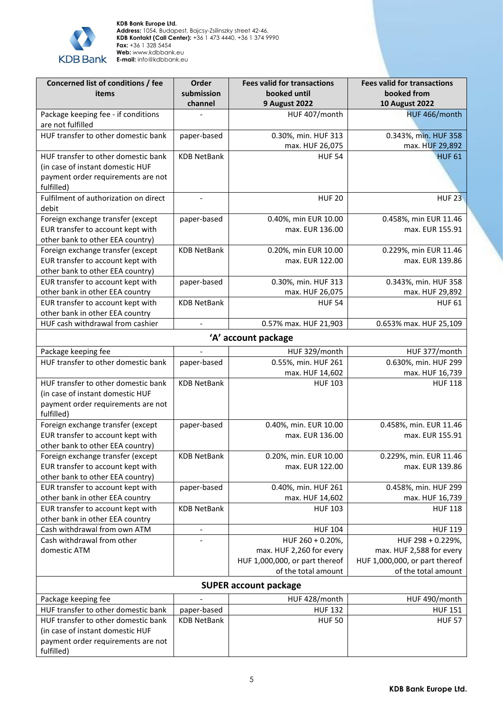

| Concerned list of conditions / fee<br>items                            | Order<br>submission<br>channel | <b>Fees valid for transactions</b><br>booked until<br><b>9 August 2022</b> | <b>Fees valid for transactions</b><br>booked from<br><b>10 August 2022</b> |
|------------------------------------------------------------------------|--------------------------------|----------------------------------------------------------------------------|----------------------------------------------------------------------------|
| Package keeping fee - if conditions<br>are not fulfilled               |                                | HUF 407/month                                                              | HUF 466/month                                                              |
| HUF transfer to other domestic bank                                    | paper-based                    | 0.30%, min. HUF 313                                                        | 0.343%, min. HUF 358                                                       |
|                                                                        |                                | max. HUF 26,075                                                            | max. HUF 29,892                                                            |
| HUF transfer to other domestic bank                                    | <b>KDB NetBank</b>             | <b>HUF 54</b>                                                              | <b>HUF 61</b>                                                              |
| (in case of instant domestic HUF                                       |                                |                                                                            |                                                                            |
| payment order requirements are not<br>fulfilled)                       |                                |                                                                            |                                                                            |
| Fulfilment of authorization on direct<br>debit                         | $\blacksquare$                 | <b>HUF 20</b>                                                              | <b>HUF 23</b>                                                              |
| Foreign exchange transfer (except                                      | paper-based                    | 0.40%, min EUR 10.00                                                       | 0.458%, min EUR 11.46                                                      |
| EUR transfer to account kept with                                      |                                | max. EUR 136.00                                                            | max. EUR 155.91                                                            |
| other bank to other EEA country)                                       |                                |                                                                            |                                                                            |
| Foreign exchange transfer (except                                      | <b>KDB NetBank</b>             | 0.20%, min EUR 10.00<br>max. EUR 122.00                                    | 0.229%, min EUR 11.46<br>max. EUR 139.86                                   |
| EUR transfer to account kept with<br>other bank to other EEA country)  |                                |                                                                            |                                                                            |
| EUR transfer to account kept with                                      | paper-based                    | 0.30%, min. HUF 313                                                        | 0.343%, min. HUF 358                                                       |
| other bank in other EEA country                                        |                                | max. HUF 26,075                                                            | max. HUF 29,892                                                            |
| EUR transfer to account kept with                                      | <b>KDB NetBank</b>             | <b>HUF 54</b>                                                              | <b>HUF 61</b>                                                              |
| other bank in other EEA country                                        |                                |                                                                            |                                                                            |
| HUF cash withdrawal from cashier                                       | $\overline{\phantom{a}}$       | 0.57% max. HUF 21,903                                                      | 0.653% max. HUF 25,109                                                     |
|                                                                        |                                | 'A' account package                                                        |                                                                            |
| Package keeping fee                                                    |                                | HUF 329/month                                                              | HUF 377/month                                                              |
| HUF transfer to other domestic bank                                    | paper-based                    | 0.55%, min. HUF 261                                                        | 0.630%, min. HUF 299                                                       |
|                                                                        |                                | max. HUF 14,602                                                            | max. HUF 16,739                                                            |
| HUF transfer to other domestic bank                                    | <b>KDB NetBank</b>             | <b>HUF 103</b>                                                             | <b>HUF 118</b>                                                             |
| (in case of instant domestic HUF<br>payment order requirements are not |                                |                                                                            |                                                                            |
| fulfilled)                                                             |                                |                                                                            |                                                                            |
| Foreign exchange transfer (except                                      | paper-based                    | 0.40%, min. EUR 10.00                                                      | 0.458%, min. EUR 11.46                                                     |
| EUR transfer to account kept with                                      |                                | max. EUR 136.00                                                            | max. EUR 155.91                                                            |
| other bank to other EEA country)                                       |                                |                                                                            |                                                                            |
| Foreign exchange transfer (except                                      | <b>KDB NetBank</b>             | 0.20%, min. EUR 10.00                                                      | 0.229%, min. EUR 11.46                                                     |
| EUR transfer to account kept with                                      |                                | max. EUR 122.00                                                            | max. EUR 139.86                                                            |
| other bank to other EEA country)<br>EUR transfer to account kept with  | paper-based                    | 0.40%, min. HUF 261                                                        | 0.458%, min. HUF 299                                                       |
| other bank in other EEA country                                        |                                | max. HUF 14,602                                                            | max. HUF 16,739                                                            |
| EUR transfer to account kept with                                      | <b>KDB NetBank</b>             | <b>HUF 103</b>                                                             | <b>HUF 118</b>                                                             |
| other bank in other EEA country                                        |                                |                                                                            |                                                                            |
| Cash withdrawal from own ATM                                           |                                | <b>HUF 104</b>                                                             | <b>HUF 119</b>                                                             |
| Cash withdrawal from other                                             |                                | HUF 260 + 0.20%,                                                           | HUF 298 + 0.229%,                                                          |
| domestic ATM                                                           |                                | max. HUF 2,260 for every                                                   | max. HUF 2,588 for every                                                   |
|                                                                        |                                | HUF 1,000,000, or part thereof                                             | HUF 1,000,000, or part thereof                                             |
|                                                                        |                                | of the total amount                                                        | of the total amount                                                        |
|                                                                        |                                | <b>SUPER account package</b>                                               |                                                                            |
| Package keeping fee                                                    |                                | HUF 428/month                                                              | HUF 490/month                                                              |
| HUF transfer to other domestic bank                                    | paper-based                    | <b>HUF 132</b>                                                             | <b>HUF 151</b>                                                             |
| HUF transfer to other domestic bank                                    | <b>KDB NetBank</b>             | <b>HUF 50</b>                                                              | <b>HUF 57</b>                                                              |
| (in case of instant domestic HUF<br>payment order requirements are not |                                |                                                                            |                                                                            |
| fulfilled)                                                             |                                |                                                                            |                                                                            |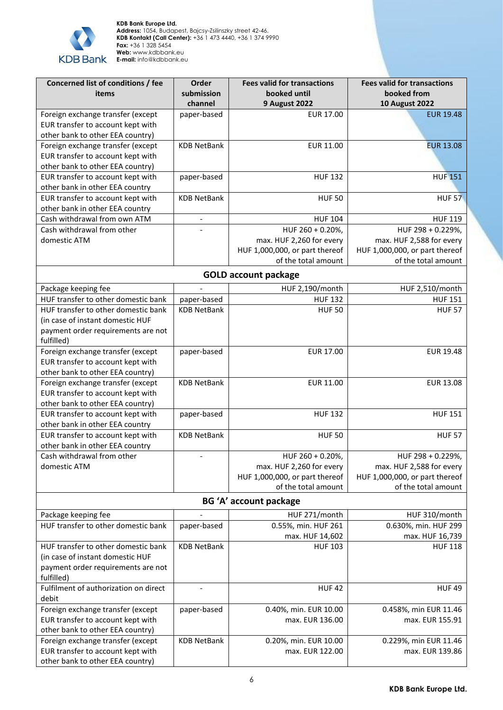

| Concerned list of conditions / fee<br>items                             | Order<br>submission<br>channel | <b>Fees valid for transactions</b><br>booked until<br><b>9 August 2022</b> | <b>Fees valid for transactions</b><br>booked from<br><b>10 August 2022</b> |
|-------------------------------------------------------------------------|--------------------------------|----------------------------------------------------------------------------|----------------------------------------------------------------------------|
| Foreign exchange transfer (except                                       | paper-based                    | EUR 17.00                                                                  | <b>EUR 19.48</b>                                                           |
| EUR transfer to account kept with                                       |                                |                                                                            |                                                                            |
| other bank to other EEA country)                                        |                                |                                                                            |                                                                            |
| Foreign exchange transfer (except                                       | <b>KDB NetBank</b>             | EUR 11.00                                                                  | <b>EUR 13.08</b>                                                           |
| EUR transfer to account kept with                                       |                                |                                                                            |                                                                            |
| other bank to other EEA country)                                        |                                |                                                                            |                                                                            |
| EUR transfer to account kept with<br>other bank in other EEA country    | paper-based                    | <b>HUF 132</b>                                                             | <b>HUF 151</b>                                                             |
| EUR transfer to account kept with                                       | <b>KDB NetBank</b>             | <b>HUF 50</b>                                                              | <b>HUF 57</b>                                                              |
| other bank in other EEA country                                         |                                |                                                                            |                                                                            |
| Cash withdrawal from own ATM                                            | $\overline{\phantom{a}}$       | <b>HUF 104</b>                                                             | <b>HUF 119</b>                                                             |
| Cash withdrawal from other                                              |                                | HUF 260 + 0.20%,                                                           | HUF 298 + 0.229%,                                                          |
| domestic ATM                                                            |                                | max. HUF 2,260 for every                                                   | max. HUF 2,588 for every                                                   |
|                                                                         |                                | HUF 1,000,000, or part thereof                                             | HUF 1,000,000, or part thereof                                             |
|                                                                         |                                | of the total amount                                                        | of the total amount                                                        |
|                                                                         |                                | <b>GOLD account package</b>                                                |                                                                            |
| Package keeping fee                                                     |                                | HUF 2,190/month                                                            | HUF 2,510/month                                                            |
| HUF transfer to other domestic bank                                     | paper-based                    | <b>HUF 132</b>                                                             | <b>HUF 151</b>                                                             |
| HUF transfer to other domestic bank                                     | <b>KDB NetBank</b>             | <b>HUF 50</b>                                                              | <b>HUF 57</b>                                                              |
| (in case of instant domestic HUF                                        |                                |                                                                            |                                                                            |
| payment order requirements are not                                      |                                |                                                                            |                                                                            |
| fulfilled)                                                              |                                |                                                                            |                                                                            |
| Foreign exchange transfer (except                                       | paper-based                    | EUR 17.00                                                                  | <b>EUR 19.48</b>                                                           |
| EUR transfer to account kept with                                       |                                |                                                                            |                                                                            |
| other bank to other EEA country)                                        |                                |                                                                            |                                                                            |
| Foreign exchange transfer (except                                       | <b>KDB NetBank</b>             | EUR 11.00                                                                  | <b>EUR 13.08</b>                                                           |
| EUR transfer to account kept with                                       |                                |                                                                            |                                                                            |
| other bank to other EEA country)                                        |                                |                                                                            |                                                                            |
| EUR transfer to account kept with                                       | paper-based                    | <b>HUF 132</b>                                                             | <b>HUF 151</b>                                                             |
| other bank in other EEA country                                         |                                |                                                                            |                                                                            |
| EUR transfer to account kept with<br>other bank in other EEA country    | <b>KDB NetBank</b>             | <b>HUF 50</b>                                                              | <b>HUF 57</b>                                                              |
| Cash withdrawal from other                                              |                                | HUF 260 + 0.20%,                                                           | HUF 298 + 0.229%,                                                          |
| domestic ATM                                                            |                                | max. HUF 2,260 for every                                                   | max. HUF 2,588 for every                                                   |
|                                                                         |                                | HUF 1,000,000, or part thereof                                             | HUF 1,000,000, or part thereof                                             |
|                                                                         |                                | of the total amount                                                        | of the total amount                                                        |
|                                                                         |                                | BG 'A' account package                                                     |                                                                            |
| Package keeping fee                                                     |                                | HUF 271/month                                                              | HUF 310/month                                                              |
| HUF transfer to other domestic bank                                     | paper-based                    | 0.55%, min. HUF 261                                                        | 0.630%, min. HUF 299                                                       |
|                                                                         |                                | max. HUF 14,602                                                            | max. HUF 16,739                                                            |
| HUF transfer to other domestic bank<br>(in case of instant domestic HUF | <b>KDB NetBank</b>             | <b>HUF 103</b>                                                             | <b>HUF 118</b>                                                             |
| payment order requirements are not                                      |                                |                                                                            |                                                                            |
| fulfilled)                                                              |                                |                                                                            |                                                                            |
| Fulfilment of authorization on direct<br>debit                          |                                | <b>HUF42</b>                                                               | <b>HUF 49</b>                                                              |
| Foreign exchange transfer (except                                       | paper-based                    | 0.40%, min. EUR 10.00                                                      | 0.458%, min EUR 11.46                                                      |
| EUR transfer to account kept with                                       |                                | max. EUR 136.00                                                            | max. EUR 155.91                                                            |
| other bank to other EEA country)                                        |                                |                                                                            |                                                                            |
| Foreign exchange transfer (except                                       | <b>KDB NetBank</b>             | 0.20%, min. EUR 10.00                                                      | 0.229%, min EUR 11.46                                                      |
| EUR transfer to account kept with                                       |                                | max. EUR 122.00                                                            | max. EUR 139.86                                                            |
| other bank to other EEA country)                                        |                                |                                                                            |                                                                            |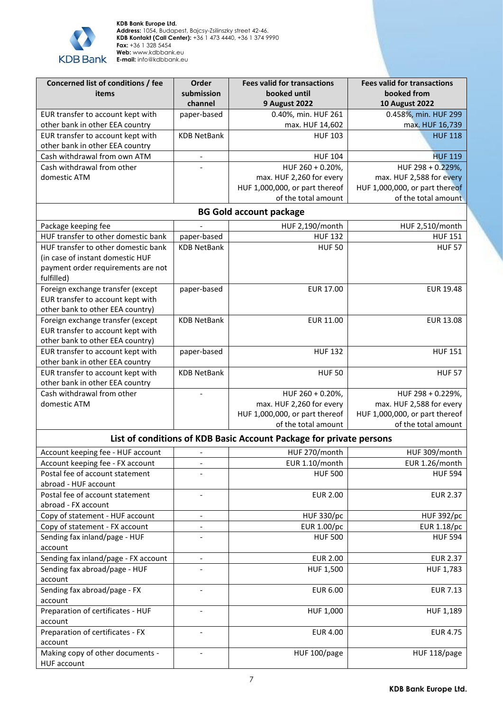

| Concerned list of conditions / fee                                   | Order                    | <b>Fees valid for transactions</b>                                  | <b>Fees valid for transactions</b> |
|----------------------------------------------------------------------|--------------------------|---------------------------------------------------------------------|------------------------------------|
| items                                                                | submission               | booked until                                                        | booked from                        |
|                                                                      | channel                  | <b>9 August 2022</b>                                                | <b>10 August 2022</b>              |
| EUR transfer to account kept with                                    | paper-based              | 0.40%, min. HUF 261                                                 | 0.458%, min. HUF 299               |
| other bank in other EEA country<br>EUR transfer to account kept with | <b>KDB NetBank</b>       | max. HUF 14,602<br><b>HUF 103</b>                                   | max. HUF 16,739<br><b>HUF 118</b>  |
| other bank in other EEA country                                      |                          |                                                                     |                                    |
| Cash withdrawal from own ATM                                         |                          | <b>HUF 104</b>                                                      | <b>HUF 119</b>                     |
| Cash withdrawal from other                                           |                          | HUF 260 + 0.20%,                                                    | HUF 298 + 0.229%,                  |
| domestic ATM                                                         |                          | max. HUF 2,260 for every                                            | max. HUF 2,588 for every           |
|                                                                      |                          | HUF 1,000,000, or part thereof                                      | HUF 1,000,000, or part thereof     |
|                                                                      |                          | of the total amount                                                 | of the total amount                |
|                                                                      |                          | <b>BG Gold account package</b>                                      |                                    |
| Package keeping fee                                                  |                          | HUF 2,190/month                                                     | HUF 2,510/month                    |
| HUF transfer to other domestic bank                                  | paper-based              | <b>HUF 132</b>                                                      | <b>HUF 151</b>                     |
| HUF transfer to other domestic bank                                  | <b>KDB NetBank</b>       | <b>HUF 50</b>                                                       | <b>HUF 57</b>                      |
| (in case of instant domestic HUF                                     |                          |                                                                     |                                    |
| payment order requirements are not                                   |                          |                                                                     |                                    |
| fulfilled)                                                           |                          |                                                                     |                                    |
| Foreign exchange transfer (except                                    | paper-based              | EUR 17.00                                                           | <b>EUR 19.48</b>                   |
| EUR transfer to account kept with                                    |                          |                                                                     |                                    |
| other bank to other EEA country)                                     |                          |                                                                     |                                    |
| Foreign exchange transfer (except                                    | <b>KDB NetBank</b>       | EUR 11.00                                                           | <b>EUR 13.08</b>                   |
| EUR transfer to account kept with                                    |                          |                                                                     |                                    |
| other bank to other EEA country)                                     |                          |                                                                     |                                    |
| EUR transfer to account kept with                                    | paper-based              | <b>HUF 132</b>                                                      | <b>HUF 151</b>                     |
| other bank in other EEA country                                      |                          |                                                                     |                                    |
| EUR transfer to account kept with                                    | <b>KDB NetBank</b>       | <b>HUF 50</b>                                                       | <b>HUF 57</b>                      |
| other bank in other EEA country                                      |                          |                                                                     |                                    |
| Cash withdrawal from other                                           |                          | HUF 260 + 0.20%,                                                    | HUF 298 + 0.229%,                  |
| domestic ATM                                                         |                          | max. HUF 2,260 for every                                            | max. HUF 2,588 for every           |
|                                                                      |                          | HUF 1,000,000, or part thereof                                      | HUF 1,000,000, or part thereof     |
|                                                                      |                          | of the total amount                                                 | of the total amount                |
|                                                                      |                          | List of conditions of KDB Basic Account Package for private persons |                                    |
| Account keeping fee - HUF account                                    |                          | HUF 270/month                                                       | HUF 309/month                      |
| Account keeping fee - FX account                                     | $\overline{\phantom{a}}$ | EUR 1.10/month                                                      | EUR 1.26/month                     |
| Postal fee of account statement                                      |                          | <b>HUF 500</b>                                                      | <b>HUF 594</b>                     |
| abroad - HUF account                                                 |                          |                                                                     |                                    |
| Postal fee of account statement                                      | $\overline{\phantom{a}}$ | <b>EUR 2.00</b>                                                     | <b>EUR 2.37</b>                    |
| abroad - FX account                                                  |                          |                                                                     |                                    |
| Copy of statement - HUF account                                      |                          | <b>HUF 330/pc</b>                                                   | <b>HUF 392/pc</b>                  |
| Copy of statement - FX account                                       |                          | EUR 1.00/pc                                                         | <b>EUR 1.18/pc</b>                 |
| Sending fax inland/page - HUF                                        |                          | <b>HUF 500</b>                                                      | <b>HUF 594</b>                     |
| account                                                              |                          |                                                                     |                                    |
| Sending fax inland/page - FX account                                 | $\overline{\phantom{a}}$ | <b>EUR 2.00</b>                                                     | <b>EUR 2.37</b>                    |
| Sending fax abroad/page - HUF<br>account                             |                          | HUF 1,500                                                           | HUF 1,783                          |
| Sending fax abroad/page - FX                                         | $\overline{\phantom{a}}$ | <b>EUR 6.00</b>                                                     | <b>EUR 7.13</b>                    |
|                                                                      |                          |                                                                     |                                    |
| account<br>Preparation of certificates - HUF                         |                          | HUF 1,000                                                           | HUF 1,189                          |
| account                                                              |                          |                                                                     |                                    |
| Preparation of certificates - FX                                     |                          | <b>EUR 4.00</b>                                                     | <b>EUR 4.75</b>                    |
| account                                                              |                          |                                                                     |                                    |
| Making copy of other documents -                                     |                          | HUF 100/page                                                        | HUF 118/page                       |
| HUF account                                                          |                          |                                                                     |                                    |
|                                                                      |                          |                                                                     |                                    |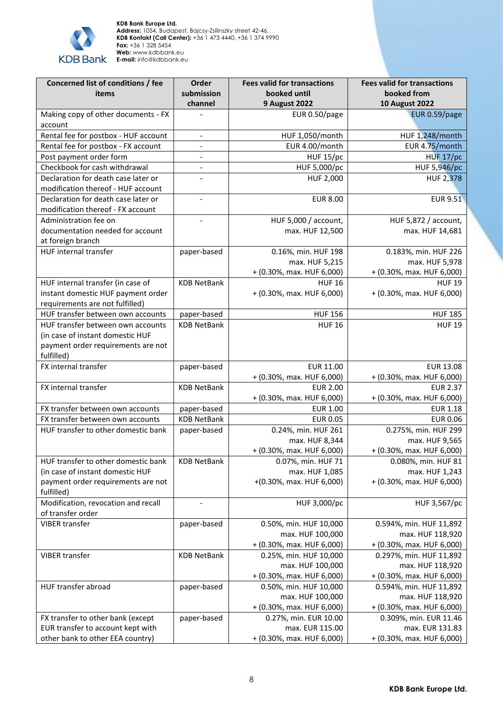

| Concerned list of conditions / fee<br>items                            | Order<br>submission<br>channel    | <b>Fees valid for transactions</b><br>booked until<br><b>9 August 2022</b> | <b>Fees valid for transactions</b><br>booked from<br><b>10 August 2022</b> |
|------------------------------------------------------------------------|-----------------------------------|----------------------------------------------------------------------------|----------------------------------------------------------------------------|
| Making copy of other documents - FX<br>account                         |                                   | EUR 0.50/page                                                              | EUR 0.59/page                                                              |
| Rental fee for postbox - HUF account                                   | $\qquad \qquad \blacksquare$      | HUF 1,050/month                                                            | <b>HUF 1,248/month</b>                                                     |
| Rental fee for postbox - FX account                                    | $\qquad \qquad \blacksquare$      | EUR 4.00/month                                                             | EUR 4.75/month                                                             |
| Post payment order form                                                | $\qquad \qquad \blacksquare$      | <b>HUF 15/pc</b>                                                           | <b>HUF 17/pc</b>                                                           |
| Checkbook for cash withdrawal                                          | $\qquad \qquad \blacksquare$      | HUF 5,000/pc                                                               | <b>HUF 5,946/pc</b>                                                        |
| Declaration for death case later or                                    |                                   | HUF 2,000                                                                  | <b>HUF 2,378</b>                                                           |
| modification thereof - HUF account                                     |                                   |                                                                            |                                                                            |
| Declaration for death case later or                                    | $\qquad \qquad \blacksquare$      | <b>EUR 8.00</b>                                                            | <b>EUR 9.51</b>                                                            |
| modification thereof - FX account                                      |                                   |                                                                            |                                                                            |
| Administration fee on                                                  | $\qquad \qquad \blacksquare$      | HUF 5,000 / account,                                                       | HUF 5,872 / account,                                                       |
| documentation needed for account                                       |                                   | max. HUF 12,500                                                            | max. HUF 14,681                                                            |
| at foreign branch                                                      |                                   |                                                                            |                                                                            |
| HUF internal transfer                                                  | paper-based                       | 0.16%, min. HUF 198                                                        | 0.183%, min. HUF 226                                                       |
|                                                                        |                                   | max. HUF 5,215                                                             | max. HUF 5,978                                                             |
|                                                                        |                                   | + (0.30%, max. HUF 6,000)                                                  | + (0.30%, max. HUF 6,000)                                                  |
| HUF internal transfer (in case of                                      | <b>KDB NetBank</b>                | <b>HUF 16</b>                                                              | <b>HUF 19</b>                                                              |
| instant domestic HUF payment order                                     |                                   | + (0.30%, max. HUF 6,000)                                                  | $+ (0.30\%$ , max. HUF 6,000)                                              |
| requirements are not fulfilled)                                        |                                   |                                                                            |                                                                            |
| HUF transfer between own accounts                                      | paper-based                       | <b>HUF 156</b>                                                             | <b>HUF 185</b>                                                             |
| HUF transfer between own accounts                                      | <b>KDB NetBank</b>                | <b>HUF 16</b>                                                              | <b>HUF 19</b>                                                              |
| (in case of instant domestic HUF<br>payment order requirements are not |                                   |                                                                            |                                                                            |
| fulfilled)                                                             |                                   |                                                                            |                                                                            |
| FX internal transfer                                                   | paper-based                       | EUR 11.00                                                                  | <b>EUR 13.08</b>                                                           |
|                                                                        |                                   | + (0.30%, max. HUF 6,000)                                                  | + (0.30%, max. HUF 6,000)                                                  |
| FX internal transfer                                                   | <b>KDB NetBank</b>                | <b>EUR 2.00</b>                                                            | <b>EUR 2.37</b>                                                            |
| FX transfer between own accounts                                       |                                   | + (0.30%, max. HUF 6,000)                                                  | + (0.30%, max. HUF 6,000)                                                  |
| FX transfer between own accounts                                       | paper-based<br><b>KDB NetBank</b> | <b>EUR 1.00</b><br><b>EUR 0.05</b>                                         | <b>EUR 1.18</b><br><b>EUR 0.06</b>                                         |
| HUF transfer to other domestic bank                                    | paper-based                       | 0.24%, min. HUF 261                                                        | 0.275%, min. HUF 299                                                       |
|                                                                        |                                   | max. HUF 8,344                                                             | max. HUF 9,565                                                             |
|                                                                        |                                   | + (0.30%, max. HUF 6,000)                                                  | + (0.30%, max. HUF 6,000)                                                  |
| HUF transfer to other domestic bank                                    | <b>KDB NetBank</b>                | 0.07%, min. HUF 71                                                         | 0.080%, min. HUF 81                                                        |
| (in case of instant domestic HUF                                       |                                   | max. HUF 1,085                                                             | max. HUF 1,243                                                             |
| payment order requirements are not                                     |                                   | $+(0.30\%$ , max. HUF 6,000)                                               | $+ (0.30\%$ , max. HUF 6,000)                                              |
| fulfilled)                                                             |                                   |                                                                            |                                                                            |
| Modification, revocation and recall                                    | $\overline{\phantom{a}}$          | HUF 3,000/pc                                                               | HUF 3,567/pc                                                               |
| of transfer order                                                      |                                   |                                                                            |                                                                            |
| <b>VIBER transfer</b>                                                  | paper-based                       | 0.50%, min. HUF 10,000                                                     | 0.594%, min. HUF 11,892                                                    |
|                                                                        |                                   | max. HUF 100,000                                                           | max. HUF 118,920                                                           |
|                                                                        |                                   | + (0.30%, max. HUF 6,000)                                                  | + (0.30%, max. HUF 6,000)                                                  |
| <b>VIBER transfer</b>                                                  | <b>KDB NetBank</b>                | 0.25%, min. HUF 10,000                                                     | 0.297%, min. HUF 11,892                                                    |
|                                                                        |                                   | max. HUF 100,000                                                           | max. HUF 118,920                                                           |
|                                                                        |                                   | + (0.30%, max. HUF 6,000)                                                  | + (0.30%, max. HUF 6,000)                                                  |
| HUF transfer abroad                                                    | paper-based                       | 0.50%, min. HUF 10,000                                                     | 0.594%, min. HUF 11,892                                                    |
|                                                                        |                                   | max. HUF 100,000                                                           | max. HUF 118,920                                                           |
|                                                                        |                                   | + (0.30%, max. HUF 6,000)                                                  | $+$ (0.30%, max. HUF 6,000)                                                |
| FX transfer to other bank (except                                      | paper-based                       | 0.27%, min. EUR 10.00                                                      | 0.309%, min. EUR 11.46                                                     |
| EUR transfer to account kept with                                      |                                   | max. EUR 115.00                                                            | max. EUR 131.83                                                            |
| other bank to other EEA country)                                       |                                   | + (0.30%, max. HUF 6,000)                                                  | + (0.30%, max. HUF 6,000)                                                  |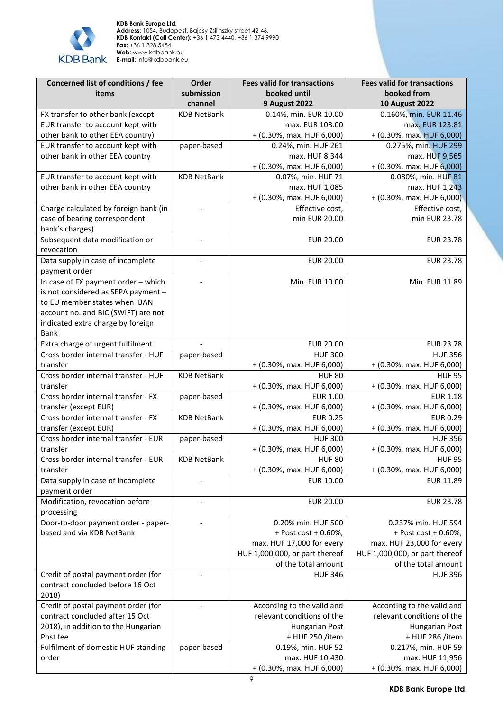

| booked until<br>items<br>submission<br>booked from<br>channel<br><b>9 August 2022</b><br><b>10 August 2022</b><br>0.14%, min. EUR 10.00<br>0.160%, min. EUR 11.46<br>FX transfer to other bank (except<br><b>KDB NetBank</b><br>EUR transfer to account kept with<br>max. EUR 108.00<br>max. EUR 123.81<br>other bank to other EEA country)<br>+ (0.30%, max. HUF 6,000)<br>+ (0.30%, max. HUF 6,000)<br>EUR transfer to account kept with<br>paper-based<br>0.24%, min. HUF 261<br>0.275%, min. HUF 299<br>other bank in other EEA country<br>max. HUF 8,344<br>max. HUF 9,565<br>+ (0.30%, max. HUF 6,000)<br>+ (0.30%, max. HUF 6,000)<br>EUR transfer to account kept with<br>0.07%, min. HUF 71<br>0.080%, min. HUF 81<br><b>KDB NetBank</b><br>other bank in other EEA country<br>max. HUF 1,085<br>max. HUF 1,243<br>+ (0.30%, max. HUF 6,000)<br>$+$ (0.30%, max. HUF 6,000)<br>Charge calculated by foreign bank (in<br>Effective cost,<br>Effective cost,<br>min EUR 20.00<br>case of bearing correspondent<br>min EUR 23.78<br>bank's charges)<br>Subsequent data modification or<br><b>EUR 23.78</b><br><b>EUR 20.00</b><br>$\qquad \qquad \blacksquare$<br>revocation<br>Data supply in case of incomplete<br><b>EUR 20.00</b><br><b>EUR 23.78</b><br>$\blacksquare$<br>payment order<br>In case of FX payment order - which<br>Min. EUR 10.00<br>Min. EUR 11.89<br>$\overline{\phantom{a}}$<br>is not considered as SEPA payment -<br>to EU member states when IBAN<br>account no. and BIC (SWIFT) are not<br>indicated extra charge by foreign<br><b>Bank</b><br>Extra charge of urgent fulfilment<br><b>EUR 20.00</b><br><b>EUR 23.78</b><br>Cross border internal transfer - HUF<br>paper-based<br><b>HUF 300</b><br><b>HUF 356</b><br>transfer<br>+ (0.30%, max. HUF 6,000)<br>+ (0.30%, max. HUF 6,000)<br>Cross border internal transfer - HUF<br><b>HUF 95</b><br><b>KDB NetBank</b><br><b>HUF 80</b><br>transfer<br>+ (0.30%, max. HUF 6,000)<br>+ (0.30%, max. HUF 6,000)<br>Cross border internal transfer - FX<br>paper-based<br><b>EUR 1.00</b><br><b>EUR 1.18</b><br>transfer (except EUR)<br>+ (0.30%, max. HUF 6,000)<br>+ (0.30%, max. HUF 6,000)<br>Cross border internal transfer - FX<br><b>EUR 0.29</b><br><b>KDB NetBank</b><br><b>EUR 0.25</b><br>transfer (except EUR)<br>+ (0.30%, max. HUF 6,000)<br>+ (0.30%, max. HUF 6,000)<br>Cross border internal transfer - EUR<br><b>HUF 300</b><br><b>HUF 356</b><br>paper-based<br>transfer<br>+ (0.30%, max. HUF 6,000)<br>+ (0.30%, max. HUF 6,000)<br>Cross border internal transfer - EUR<br><b>KDB NetBank</b><br><b>HUF 80</b><br><b>HUF 95</b><br>transfer<br>+ (0.30%, max. HUF 6,000)<br>+ (0.30%, max. HUF 6,000)<br>Data supply in case of incomplete<br>EUR 10.00<br>EUR 11.89<br>payment order<br>Modification, revocation before<br><b>EUR 20.00</b><br><b>EUR 23.78</b><br>processing<br>Door-to-door payment order - paper-<br>0.20% min. HUF 500<br>0.237% min. HUF 594<br>based and via KDB NetBank<br>+ Post cost + 0.60%,<br>+ Post cost + 0.60%,<br>max. HUF 17,000 for every<br>max. HUF 23,000 for every<br>HUF 1,000,000, or part thereof<br>HUF 1,000,000, or part thereof<br>of the total amount<br>of the total amount<br><b>HUF 346</b><br><b>HUF 396</b><br>Credit of postal payment order (for<br>contract concluded before 16 Oct<br>2018)<br>Credit of postal payment order (for<br>According to the valid and<br>According to the valid and<br>contract concluded after 15 Oct<br>relevant conditions of the<br>relevant conditions of the<br><b>Hungarian Post</b><br>2018), in addition to the Hungarian<br>Hungarian Post<br>+ HUF 250 /item<br>Post fee<br>+ HUF 286 /item<br>0.19%, min. HUF 52<br>0.217%, min. HUF 59<br>Fulfilment of domestic HUF standing<br>paper-based<br>max. HUF 10,430<br>max. HUF 11,956<br>order | Concerned list of conditions / fee | Order | <b>Fees valid for transactions</b> | <b>Fees valid for transactions</b> |
|----------------------------------------------------------------------------------------------------------------------------------------------------------------------------------------------------------------------------------------------------------------------------------------------------------------------------------------------------------------------------------------------------------------------------------------------------------------------------------------------------------------------------------------------------------------------------------------------------------------------------------------------------------------------------------------------------------------------------------------------------------------------------------------------------------------------------------------------------------------------------------------------------------------------------------------------------------------------------------------------------------------------------------------------------------------------------------------------------------------------------------------------------------------------------------------------------------------------------------------------------------------------------------------------------------------------------------------------------------------------------------------------------------------------------------------------------------------------------------------------------------------------------------------------------------------------------------------------------------------------------------------------------------------------------------------------------------------------------------------------------------------------------------------------------------------------------------------------------------------------------------------------------------------------------------------------------------------------------------------------------------------------------------------------------------------------------------------------------------------------------------------------------------------------------------------------------------------------------------------------------------------------------------------------------------------------------------------------------------------------------------------------------------------------------------------------------------------------------------------------------------------------------------------------------------------------------------------------------------------------------------------------------------------------------------------------------------------------------------------------------------------------------------------------------------------------------------------------------------------------------------------------------------------------------------------------------------------------------------------------------------------------------------------------------------------------------------------------------------------------------------------------------------------------------------------------------------------------------------------------------------------------------------------------------------------------------------------------------------------------------------------------------------------------------------------------------------------------------------------------------------------------------------------------------------------------------------------------------------------------------------------------------------------------------------------------------------------------------------------------------------------------------------------------------------------------------------------------------|------------------------------------|-------|------------------------------------|------------------------------------|
|                                                                                                                                                                                                                                                                                                                                                                                                                                                                                                                                                                                                                                                                                                                                                                                                                                                                                                                                                                                                                                                                                                                                                                                                                                                                                                                                                                                                                                                                                                                                                                                                                                                                                                                                                                                                                                                                                                                                                                                                                                                                                                                                                                                                                                                                                                                                                                                                                                                                                                                                                                                                                                                                                                                                                                                                                                                                                                                                                                                                                                                                                                                                                                                                                                                                                                                                                                                                                                                                                                                                                                                                                                                                                                                                                                                                                                                    |                                    |       |                                    |                                    |
|                                                                                                                                                                                                                                                                                                                                                                                                                                                                                                                                                                                                                                                                                                                                                                                                                                                                                                                                                                                                                                                                                                                                                                                                                                                                                                                                                                                                                                                                                                                                                                                                                                                                                                                                                                                                                                                                                                                                                                                                                                                                                                                                                                                                                                                                                                                                                                                                                                                                                                                                                                                                                                                                                                                                                                                                                                                                                                                                                                                                                                                                                                                                                                                                                                                                                                                                                                                                                                                                                                                                                                                                                                                                                                                                                                                                                                                    |                                    |       |                                    |                                    |
|                                                                                                                                                                                                                                                                                                                                                                                                                                                                                                                                                                                                                                                                                                                                                                                                                                                                                                                                                                                                                                                                                                                                                                                                                                                                                                                                                                                                                                                                                                                                                                                                                                                                                                                                                                                                                                                                                                                                                                                                                                                                                                                                                                                                                                                                                                                                                                                                                                                                                                                                                                                                                                                                                                                                                                                                                                                                                                                                                                                                                                                                                                                                                                                                                                                                                                                                                                                                                                                                                                                                                                                                                                                                                                                                                                                                                                                    |                                    |       |                                    |                                    |
|                                                                                                                                                                                                                                                                                                                                                                                                                                                                                                                                                                                                                                                                                                                                                                                                                                                                                                                                                                                                                                                                                                                                                                                                                                                                                                                                                                                                                                                                                                                                                                                                                                                                                                                                                                                                                                                                                                                                                                                                                                                                                                                                                                                                                                                                                                                                                                                                                                                                                                                                                                                                                                                                                                                                                                                                                                                                                                                                                                                                                                                                                                                                                                                                                                                                                                                                                                                                                                                                                                                                                                                                                                                                                                                                                                                                                                                    |                                    |       |                                    |                                    |
|                                                                                                                                                                                                                                                                                                                                                                                                                                                                                                                                                                                                                                                                                                                                                                                                                                                                                                                                                                                                                                                                                                                                                                                                                                                                                                                                                                                                                                                                                                                                                                                                                                                                                                                                                                                                                                                                                                                                                                                                                                                                                                                                                                                                                                                                                                                                                                                                                                                                                                                                                                                                                                                                                                                                                                                                                                                                                                                                                                                                                                                                                                                                                                                                                                                                                                                                                                                                                                                                                                                                                                                                                                                                                                                                                                                                                                                    |                                    |       |                                    |                                    |
|                                                                                                                                                                                                                                                                                                                                                                                                                                                                                                                                                                                                                                                                                                                                                                                                                                                                                                                                                                                                                                                                                                                                                                                                                                                                                                                                                                                                                                                                                                                                                                                                                                                                                                                                                                                                                                                                                                                                                                                                                                                                                                                                                                                                                                                                                                                                                                                                                                                                                                                                                                                                                                                                                                                                                                                                                                                                                                                                                                                                                                                                                                                                                                                                                                                                                                                                                                                                                                                                                                                                                                                                                                                                                                                                                                                                                                                    |                                    |       |                                    |                                    |
|                                                                                                                                                                                                                                                                                                                                                                                                                                                                                                                                                                                                                                                                                                                                                                                                                                                                                                                                                                                                                                                                                                                                                                                                                                                                                                                                                                                                                                                                                                                                                                                                                                                                                                                                                                                                                                                                                                                                                                                                                                                                                                                                                                                                                                                                                                                                                                                                                                                                                                                                                                                                                                                                                                                                                                                                                                                                                                                                                                                                                                                                                                                                                                                                                                                                                                                                                                                                                                                                                                                                                                                                                                                                                                                                                                                                                                                    |                                    |       |                                    |                                    |
|                                                                                                                                                                                                                                                                                                                                                                                                                                                                                                                                                                                                                                                                                                                                                                                                                                                                                                                                                                                                                                                                                                                                                                                                                                                                                                                                                                                                                                                                                                                                                                                                                                                                                                                                                                                                                                                                                                                                                                                                                                                                                                                                                                                                                                                                                                                                                                                                                                                                                                                                                                                                                                                                                                                                                                                                                                                                                                                                                                                                                                                                                                                                                                                                                                                                                                                                                                                                                                                                                                                                                                                                                                                                                                                                                                                                                                                    |                                    |       |                                    |                                    |
|                                                                                                                                                                                                                                                                                                                                                                                                                                                                                                                                                                                                                                                                                                                                                                                                                                                                                                                                                                                                                                                                                                                                                                                                                                                                                                                                                                                                                                                                                                                                                                                                                                                                                                                                                                                                                                                                                                                                                                                                                                                                                                                                                                                                                                                                                                                                                                                                                                                                                                                                                                                                                                                                                                                                                                                                                                                                                                                                                                                                                                                                                                                                                                                                                                                                                                                                                                                                                                                                                                                                                                                                                                                                                                                                                                                                                                                    |                                    |       |                                    |                                    |
|                                                                                                                                                                                                                                                                                                                                                                                                                                                                                                                                                                                                                                                                                                                                                                                                                                                                                                                                                                                                                                                                                                                                                                                                                                                                                                                                                                                                                                                                                                                                                                                                                                                                                                                                                                                                                                                                                                                                                                                                                                                                                                                                                                                                                                                                                                                                                                                                                                                                                                                                                                                                                                                                                                                                                                                                                                                                                                                                                                                                                                                                                                                                                                                                                                                                                                                                                                                                                                                                                                                                                                                                                                                                                                                                                                                                                                                    |                                    |       |                                    |                                    |
|                                                                                                                                                                                                                                                                                                                                                                                                                                                                                                                                                                                                                                                                                                                                                                                                                                                                                                                                                                                                                                                                                                                                                                                                                                                                                                                                                                                                                                                                                                                                                                                                                                                                                                                                                                                                                                                                                                                                                                                                                                                                                                                                                                                                                                                                                                                                                                                                                                                                                                                                                                                                                                                                                                                                                                                                                                                                                                                                                                                                                                                                                                                                                                                                                                                                                                                                                                                                                                                                                                                                                                                                                                                                                                                                                                                                                                                    |                                    |       |                                    |                                    |
|                                                                                                                                                                                                                                                                                                                                                                                                                                                                                                                                                                                                                                                                                                                                                                                                                                                                                                                                                                                                                                                                                                                                                                                                                                                                                                                                                                                                                                                                                                                                                                                                                                                                                                                                                                                                                                                                                                                                                                                                                                                                                                                                                                                                                                                                                                                                                                                                                                                                                                                                                                                                                                                                                                                                                                                                                                                                                                                                                                                                                                                                                                                                                                                                                                                                                                                                                                                                                                                                                                                                                                                                                                                                                                                                                                                                                                                    |                                    |       |                                    |                                    |
|                                                                                                                                                                                                                                                                                                                                                                                                                                                                                                                                                                                                                                                                                                                                                                                                                                                                                                                                                                                                                                                                                                                                                                                                                                                                                                                                                                                                                                                                                                                                                                                                                                                                                                                                                                                                                                                                                                                                                                                                                                                                                                                                                                                                                                                                                                                                                                                                                                                                                                                                                                                                                                                                                                                                                                                                                                                                                                                                                                                                                                                                                                                                                                                                                                                                                                                                                                                                                                                                                                                                                                                                                                                                                                                                                                                                                                                    |                                    |       |                                    |                                    |
|                                                                                                                                                                                                                                                                                                                                                                                                                                                                                                                                                                                                                                                                                                                                                                                                                                                                                                                                                                                                                                                                                                                                                                                                                                                                                                                                                                                                                                                                                                                                                                                                                                                                                                                                                                                                                                                                                                                                                                                                                                                                                                                                                                                                                                                                                                                                                                                                                                                                                                                                                                                                                                                                                                                                                                                                                                                                                                                                                                                                                                                                                                                                                                                                                                                                                                                                                                                                                                                                                                                                                                                                                                                                                                                                                                                                                                                    |                                    |       |                                    |                                    |
|                                                                                                                                                                                                                                                                                                                                                                                                                                                                                                                                                                                                                                                                                                                                                                                                                                                                                                                                                                                                                                                                                                                                                                                                                                                                                                                                                                                                                                                                                                                                                                                                                                                                                                                                                                                                                                                                                                                                                                                                                                                                                                                                                                                                                                                                                                                                                                                                                                                                                                                                                                                                                                                                                                                                                                                                                                                                                                                                                                                                                                                                                                                                                                                                                                                                                                                                                                                                                                                                                                                                                                                                                                                                                                                                                                                                                                                    |                                    |       |                                    |                                    |
|                                                                                                                                                                                                                                                                                                                                                                                                                                                                                                                                                                                                                                                                                                                                                                                                                                                                                                                                                                                                                                                                                                                                                                                                                                                                                                                                                                                                                                                                                                                                                                                                                                                                                                                                                                                                                                                                                                                                                                                                                                                                                                                                                                                                                                                                                                                                                                                                                                                                                                                                                                                                                                                                                                                                                                                                                                                                                                                                                                                                                                                                                                                                                                                                                                                                                                                                                                                                                                                                                                                                                                                                                                                                                                                                                                                                                                                    |                                    |       |                                    |                                    |
|                                                                                                                                                                                                                                                                                                                                                                                                                                                                                                                                                                                                                                                                                                                                                                                                                                                                                                                                                                                                                                                                                                                                                                                                                                                                                                                                                                                                                                                                                                                                                                                                                                                                                                                                                                                                                                                                                                                                                                                                                                                                                                                                                                                                                                                                                                                                                                                                                                                                                                                                                                                                                                                                                                                                                                                                                                                                                                                                                                                                                                                                                                                                                                                                                                                                                                                                                                                                                                                                                                                                                                                                                                                                                                                                                                                                                                                    |                                    |       |                                    |                                    |
|                                                                                                                                                                                                                                                                                                                                                                                                                                                                                                                                                                                                                                                                                                                                                                                                                                                                                                                                                                                                                                                                                                                                                                                                                                                                                                                                                                                                                                                                                                                                                                                                                                                                                                                                                                                                                                                                                                                                                                                                                                                                                                                                                                                                                                                                                                                                                                                                                                                                                                                                                                                                                                                                                                                                                                                                                                                                                                                                                                                                                                                                                                                                                                                                                                                                                                                                                                                                                                                                                                                                                                                                                                                                                                                                                                                                                                                    |                                    |       |                                    |                                    |
|                                                                                                                                                                                                                                                                                                                                                                                                                                                                                                                                                                                                                                                                                                                                                                                                                                                                                                                                                                                                                                                                                                                                                                                                                                                                                                                                                                                                                                                                                                                                                                                                                                                                                                                                                                                                                                                                                                                                                                                                                                                                                                                                                                                                                                                                                                                                                                                                                                                                                                                                                                                                                                                                                                                                                                                                                                                                                                                                                                                                                                                                                                                                                                                                                                                                                                                                                                                                                                                                                                                                                                                                                                                                                                                                                                                                                                                    |                                    |       |                                    |                                    |
|                                                                                                                                                                                                                                                                                                                                                                                                                                                                                                                                                                                                                                                                                                                                                                                                                                                                                                                                                                                                                                                                                                                                                                                                                                                                                                                                                                                                                                                                                                                                                                                                                                                                                                                                                                                                                                                                                                                                                                                                                                                                                                                                                                                                                                                                                                                                                                                                                                                                                                                                                                                                                                                                                                                                                                                                                                                                                                                                                                                                                                                                                                                                                                                                                                                                                                                                                                                                                                                                                                                                                                                                                                                                                                                                                                                                                                                    |                                    |       |                                    |                                    |
|                                                                                                                                                                                                                                                                                                                                                                                                                                                                                                                                                                                                                                                                                                                                                                                                                                                                                                                                                                                                                                                                                                                                                                                                                                                                                                                                                                                                                                                                                                                                                                                                                                                                                                                                                                                                                                                                                                                                                                                                                                                                                                                                                                                                                                                                                                                                                                                                                                                                                                                                                                                                                                                                                                                                                                                                                                                                                                                                                                                                                                                                                                                                                                                                                                                                                                                                                                                                                                                                                                                                                                                                                                                                                                                                                                                                                                                    |                                    |       |                                    |                                    |
|                                                                                                                                                                                                                                                                                                                                                                                                                                                                                                                                                                                                                                                                                                                                                                                                                                                                                                                                                                                                                                                                                                                                                                                                                                                                                                                                                                                                                                                                                                                                                                                                                                                                                                                                                                                                                                                                                                                                                                                                                                                                                                                                                                                                                                                                                                                                                                                                                                                                                                                                                                                                                                                                                                                                                                                                                                                                                                                                                                                                                                                                                                                                                                                                                                                                                                                                                                                                                                                                                                                                                                                                                                                                                                                                                                                                                                                    |                                    |       |                                    |                                    |
|                                                                                                                                                                                                                                                                                                                                                                                                                                                                                                                                                                                                                                                                                                                                                                                                                                                                                                                                                                                                                                                                                                                                                                                                                                                                                                                                                                                                                                                                                                                                                                                                                                                                                                                                                                                                                                                                                                                                                                                                                                                                                                                                                                                                                                                                                                                                                                                                                                                                                                                                                                                                                                                                                                                                                                                                                                                                                                                                                                                                                                                                                                                                                                                                                                                                                                                                                                                                                                                                                                                                                                                                                                                                                                                                                                                                                                                    |                                    |       |                                    |                                    |
|                                                                                                                                                                                                                                                                                                                                                                                                                                                                                                                                                                                                                                                                                                                                                                                                                                                                                                                                                                                                                                                                                                                                                                                                                                                                                                                                                                                                                                                                                                                                                                                                                                                                                                                                                                                                                                                                                                                                                                                                                                                                                                                                                                                                                                                                                                                                                                                                                                                                                                                                                                                                                                                                                                                                                                                                                                                                                                                                                                                                                                                                                                                                                                                                                                                                                                                                                                                                                                                                                                                                                                                                                                                                                                                                                                                                                                                    |                                    |       |                                    |                                    |
|                                                                                                                                                                                                                                                                                                                                                                                                                                                                                                                                                                                                                                                                                                                                                                                                                                                                                                                                                                                                                                                                                                                                                                                                                                                                                                                                                                                                                                                                                                                                                                                                                                                                                                                                                                                                                                                                                                                                                                                                                                                                                                                                                                                                                                                                                                                                                                                                                                                                                                                                                                                                                                                                                                                                                                                                                                                                                                                                                                                                                                                                                                                                                                                                                                                                                                                                                                                                                                                                                                                                                                                                                                                                                                                                                                                                                                                    |                                    |       |                                    |                                    |
|                                                                                                                                                                                                                                                                                                                                                                                                                                                                                                                                                                                                                                                                                                                                                                                                                                                                                                                                                                                                                                                                                                                                                                                                                                                                                                                                                                                                                                                                                                                                                                                                                                                                                                                                                                                                                                                                                                                                                                                                                                                                                                                                                                                                                                                                                                                                                                                                                                                                                                                                                                                                                                                                                                                                                                                                                                                                                                                                                                                                                                                                                                                                                                                                                                                                                                                                                                                                                                                                                                                                                                                                                                                                                                                                                                                                                                                    |                                    |       |                                    |                                    |
|                                                                                                                                                                                                                                                                                                                                                                                                                                                                                                                                                                                                                                                                                                                                                                                                                                                                                                                                                                                                                                                                                                                                                                                                                                                                                                                                                                                                                                                                                                                                                                                                                                                                                                                                                                                                                                                                                                                                                                                                                                                                                                                                                                                                                                                                                                                                                                                                                                                                                                                                                                                                                                                                                                                                                                                                                                                                                                                                                                                                                                                                                                                                                                                                                                                                                                                                                                                                                                                                                                                                                                                                                                                                                                                                                                                                                                                    |                                    |       |                                    |                                    |
|                                                                                                                                                                                                                                                                                                                                                                                                                                                                                                                                                                                                                                                                                                                                                                                                                                                                                                                                                                                                                                                                                                                                                                                                                                                                                                                                                                                                                                                                                                                                                                                                                                                                                                                                                                                                                                                                                                                                                                                                                                                                                                                                                                                                                                                                                                                                                                                                                                                                                                                                                                                                                                                                                                                                                                                                                                                                                                                                                                                                                                                                                                                                                                                                                                                                                                                                                                                                                                                                                                                                                                                                                                                                                                                                                                                                                                                    |                                    |       |                                    |                                    |
|                                                                                                                                                                                                                                                                                                                                                                                                                                                                                                                                                                                                                                                                                                                                                                                                                                                                                                                                                                                                                                                                                                                                                                                                                                                                                                                                                                                                                                                                                                                                                                                                                                                                                                                                                                                                                                                                                                                                                                                                                                                                                                                                                                                                                                                                                                                                                                                                                                                                                                                                                                                                                                                                                                                                                                                                                                                                                                                                                                                                                                                                                                                                                                                                                                                                                                                                                                                                                                                                                                                                                                                                                                                                                                                                                                                                                                                    |                                    |       |                                    |                                    |
|                                                                                                                                                                                                                                                                                                                                                                                                                                                                                                                                                                                                                                                                                                                                                                                                                                                                                                                                                                                                                                                                                                                                                                                                                                                                                                                                                                                                                                                                                                                                                                                                                                                                                                                                                                                                                                                                                                                                                                                                                                                                                                                                                                                                                                                                                                                                                                                                                                                                                                                                                                                                                                                                                                                                                                                                                                                                                                                                                                                                                                                                                                                                                                                                                                                                                                                                                                                                                                                                                                                                                                                                                                                                                                                                                                                                                                                    |                                    |       |                                    |                                    |
|                                                                                                                                                                                                                                                                                                                                                                                                                                                                                                                                                                                                                                                                                                                                                                                                                                                                                                                                                                                                                                                                                                                                                                                                                                                                                                                                                                                                                                                                                                                                                                                                                                                                                                                                                                                                                                                                                                                                                                                                                                                                                                                                                                                                                                                                                                                                                                                                                                                                                                                                                                                                                                                                                                                                                                                                                                                                                                                                                                                                                                                                                                                                                                                                                                                                                                                                                                                                                                                                                                                                                                                                                                                                                                                                                                                                                                                    |                                    |       |                                    |                                    |
|                                                                                                                                                                                                                                                                                                                                                                                                                                                                                                                                                                                                                                                                                                                                                                                                                                                                                                                                                                                                                                                                                                                                                                                                                                                                                                                                                                                                                                                                                                                                                                                                                                                                                                                                                                                                                                                                                                                                                                                                                                                                                                                                                                                                                                                                                                                                                                                                                                                                                                                                                                                                                                                                                                                                                                                                                                                                                                                                                                                                                                                                                                                                                                                                                                                                                                                                                                                                                                                                                                                                                                                                                                                                                                                                                                                                                                                    |                                    |       |                                    |                                    |
|                                                                                                                                                                                                                                                                                                                                                                                                                                                                                                                                                                                                                                                                                                                                                                                                                                                                                                                                                                                                                                                                                                                                                                                                                                                                                                                                                                                                                                                                                                                                                                                                                                                                                                                                                                                                                                                                                                                                                                                                                                                                                                                                                                                                                                                                                                                                                                                                                                                                                                                                                                                                                                                                                                                                                                                                                                                                                                                                                                                                                                                                                                                                                                                                                                                                                                                                                                                                                                                                                                                                                                                                                                                                                                                                                                                                                                                    |                                    |       |                                    |                                    |
|                                                                                                                                                                                                                                                                                                                                                                                                                                                                                                                                                                                                                                                                                                                                                                                                                                                                                                                                                                                                                                                                                                                                                                                                                                                                                                                                                                                                                                                                                                                                                                                                                                                                                                                                                                                                                                                                                                                                                                                                                                                                                                                                                                                                                                                                                                                                                                                                                                                                                                                                                                                                                                                                                                                                                                                                                                                                                                                                                                                                                                                                                                                                                                                                                                                                                                                                                                                                                                                                                                                                                                                                                                                                                                                                                                                                                                                    |                                    |       |                                    |                                    |
|                                                                                                                                                                                                                                                                                                                                                                                                                                                                                                                                                                                                                                                                                                                                                                                                                                                                                                                                                                                                                                                                                                                                                                                                                                                                                                                                                                                                                                                                                                                                                                                                                                                                                                                                                                                                                                                                                                                                                                                                                                                                                                                                                                                                                                                                                                                                                                                                                                                                                                                                                                                                                                                                                                                                                                                                                                                                                                                                                                                                                                                                                                                                                                                                                                                                                                                                                                                                                                                                                                                                                                                                                                                                                                                                                                                                                                                    |                                    |       |                                    |                                    |
|                                                                                                                                                                                                                                                                                                                                                                                                                                                                                                                                                                                                                                                                                                                                                                                                                                                                                                                                                                                                                                                                                                                                                                                                                                                                                                                                                                                                                                                                                                                                                                                                                                                                                                                                                                                                                                                                                                                                                                                                                                                                                                                                                                                                                                                                                                                                                                                                                                                                                                                                                                                                                                                                                                                                                                                                                                                                                                                                                                                                                                                                                                                                                                                                                                                                                                                                                                                                                                                                                                                                                                                                                                                                                                                                                                                                                                                    |                                    |       |                                    |                                    |
|                                                                                                                                                                                                                                                                                                                                                                                                                                                                                                                                                                                                                                                                                                                                                                                                                                                                                                                                                                                                                                                                                                                                                                                                                                                                                                                                                                                                                                                                                                                                                                                                                                                                                                                                                                                                                                                                                                                                                                                                                                                                                                                                                                                                                                                                                                                                                                                                                                                                                                                                                                                                                                                                                                                                                                                                                                                                                                                                                                                                                                                                                                                                                                                                                                                                                                                                                                                                                                                                                                                                                                                                                                                                                                                                                                                                                                                    |                                    |       |                                    |                                    |
|                                                                                                                                                                                                                                                                                                                                                                                                                                                                                                                                                                                                                                                                                                                                                                                                                                                                                                                                                                                                                                                                                                                                                                                                                                                                                                                                                                                                                                                                                                                                                                                                                                                                                                                                                                                                                                                                                                                                                                                                                                                                                                                                                                                                                                                                                                                                                                                                                                                                                                                                                                                                                                                                                                                                                                                                                                                                                                                                                                                                                                                                                                                                                                                                                                                                                                                                                                                                                                                                                                                                                                                                                                                                                                                                                                                                                                                    |                                    |       |                                    |                                    |
|                                                                                                                                                                                                                                                                                                                                                                                                                                                                                                                                                                                                                                                                                                                                                                                                                                                                                                                                                                                                                                                                                                                                                                                                                                                                                                                                                                                                                                                                                                                                                                                                                                                                                                                                                                                                                                                                                                                                                                                                                                                                                                                                                                                                                                                                                                                                                                                                                                                                                                                                                                                                                                                                                                                                                                                                                                                                                                                                                                                                                                                                                                                                                                                                                                                                                                                                                                                                                                                                                                                                                                                                                                                                                                                                                                                                                                                    |                                    |       |                                    |                                    |
|                                                                                                                                                                                                                                                                                                                                                                                                                                                                                                                                                                                                                                                                                                                                                                                                                                                                                                                                                                                                                                                                                                                                                                                                                                                                                                                                                                                                                                                                                                                                                                                                                                                                                                                                                                                                                                                                                                                                                                                                                                                                                                                                                                                                                                                                                                                                                                                                                                                                                                                                                                                                                                                                                                                                                                                                                                                                                                                                                                                                                                                                                                                                                                                                                                                                                                                                                                                                                                                                                                                                                                                                                                                                                                                                                                                                                                                    |                                    |       |                                    |                                    |
|                                                                                                                                                                                                                                                                                                                                                                                                                                                                                                                                                                                                                                                                                                                                                                                                                                                                                                                                                                                                                                                                                                                                                                                                                                                                                                                                                                                                                                                                                                                                                                                                                                                                                                                                                                                                                                                                                                                                                                                                                                                                                                                                                                                                                                                                                                                                                                                                                                                                                                                                                                                                                                                                                                                                                                                                                                                                                                                                                                                                                                                                                                                                                                                                                                                                                                                                                                                                                                                                                                                                                                                                                                                                                                                                                                                                                                                    |                                    |       |                                    |                                    |
|                                                                                                                                                                                                                                                                                                                                                                                                                                                                                                                                                                                                                                                                                                                                                                                                                                                                                                                                                                                                                                                                                                                                                                                                                                                                                                                                                                                                                                                                                                                                                                                                                                                                                                                                                                                                                                                                                                                                                                                                                                                                                                                                                                                                                                                                                                                                                                                                                                                                                                                                                                                                                                                                                                                                                                                                                                                                                                                                                                                                                                                                                                                                                                                                                                                                                                                                                                                                                                                                                                                                                                                                                                                                                                                                                                                                                                                    |                                    |       |                                    |                                    |
|                                                                                                                                                                                                                                                                                                                                                                                                                                                                                                                                                                                                                                                                                                                                                                                                                                                                                                                                                                                                                                                                                                                                                                                                                                                                                                                                                                                                                                                                                                                                                                                                                                                                                                                                                                                                                                                                                                                                                                                                                                                                                                                                                                                                                                                                                                                                                                                                                                                                                                                                                                                                                                                                                                                                                                                                                                                                                                                                                                                                                                                                                                                                                                                                                                                                                                                                                                                                                                                                                                                                                                                                                                                                                                                                                                                                                                                    |                                    |       |                                    |                                    |
|                                                                                                                                                                                                                                                                                                                                                                                                                                                                                                                                                                                                                                                                                                                                                                                                                                                                                                                                                                                                                                                                                                                                                                                                                                                                                                                                                                                                                                                                                                                                                                                                                                                                                                                                                                                                                                                                                                                                                                                                                                                                                                                                                                                                                                                                                                                                                                                                                                                                                                                                                                                                                                                                                                                                                                                                                                                                                                                                                                                                                                                                                                                                                                                                                                                                                                                                                                                                                                                                                                                                                                                                                                                                                                                                                                                                                                                    |                                    |       |                                    |                                    |
|                                                                                                                                                                                                                                                                                                                                                                                                                                                                                                                                                                                                                                                                                                                                                                                                                                                                                                                                                                                                                                                                                                                                                                                                                                                                                                                                                                                                                                                                                                                                                                                                                                                                                                                                                                                                                                                                                                                                                                                                                                                                                                                                                                                                                                                                                                                                                                                                                                                                                                                                                                                                                                                                                                                                                                                                                                                                                                                                                                                                                                                                                                                                                                                                                                                                                                                                                                                                                                                                                                                                                                                                                                                                                                                                                                                                                                                    |                                    |       |                                    |                                    |
|                                                                                                                                                                                                                                                                                                                                                                                                                                                                                                                                                                                                                                                                                                                                                                                                                                                                                                                                                                                                                                                                                                                                                                                                                                                                                                                                                                                                                                                                                                                                                                                                                                                                                                                                                                                                                                                                                                                                                                                                                                                                                                                                                                                                                                                                                                                                                                                                                                                                                                                                                                                                                                                                                                                                                                                                                                                                                                                                                                                                                                                                                                                                                                                                                                                                                                                                                                                                                                                                                                                                                                                                                                                                                                                                                                                                                                                    |                                    |       |                                    |                                    |
|                                                                                                                                                                                                                                                                                                                                                                                                                                                                                                                                                                                                                                                                                                                                                                                                                                                                                                                                                                                                                                                                                                                                                                                                                                                                                                                                                                                                                                                                                                                                                                                                                                                                                                                                                                                                                                                                                                                                                                                                                                                                                                                                                                                                                                                                                                                                                                                                                                                                                                                                                                                                                                                                                                                                                                                                                                                                                                                                                                                                                                                                                                                                                                                                                                                                                                                                                                                                                                                                                                                                                                                                                                                                                                                                                                                                                                                    |                                    |       |                                    |                                    |
|                                                                                                                                                                                                                                                                                                                                                                                                                                                                                                                                                                                                                                                                                                                                                                                                                                                                                                                                                                                                                                                                                                                                                                                                                                                                                                                                                                                                                                                                                                                                                                                                                                                                                                                                                                                                                                                                                                                                                                                                                                                                                                                                                                                                                                                                                                                                                                                                                                                                                                                                                                                                                                                                                                                                                                                                                                                                                                                                                                                                                                                                                                                                                                                                                                                                                                                                                                                                                                                                                                                                                                                                                                                                                                                                                                                                                                                    |                                    |       |                                    |                                    |
|                                                                                                                                                                                                                                                                                                                                                                                                                                                                                                                                                                                                                                                                                                                                                                                                                                                                                                                                                                                                                                                                                                                                                                                                                                                                                                                                                                                                                                                                                                                                                                                                                                                                                                                                                                                                                                                                                                                                                                                                                                                                                                                                                                                                                                                                                                                                                                                                                                                                                                                                                                                                                                                                                                                                                                                                                                                                                                                                                                                                                                                                                                                                                                                                                                                                                                                                                                                                                                                                                                                                                                                                                                                                                                                                                                                                                                                    |                                    |       |                                    |                                    |
|                                                                                                                                                                                                                                                                                                                                                                                                                                                                                                                                                                                                                                                                                                                                                                                                                                                                                                                                                                                                                                                                                                                                                                                                                                                                                                                                                                                                                                                                                                                                                                                                                                                                                                                                                                                                                                                                                                                                                                                                                                                                                                                                                                                                                                                                                                                                                                                                                                                                                                                                                                                                                                                                                                                                                                                                                                                                                                                                                                                                                                                                                                                                                                                                                                                                                                                                                                                                                                                                                                                                                                                                                                                                                                                                                                                                                                                    |                                    |       |                                    |                                    |
|                                                                                                                                                                                                                                                                                                                                                                                                                                                                                                                                                                                                                                                                                                                                                                                                                                                                                                                                                                                                                                                                                                                                                                                                                                                                                                                                                                                                                                                                                                                                                                                                                                                                                                                                                                                                                                                                                                                                                                                                                                                                                                                                                                                                                                                                                                                                                                                                                                                                                                                                                                                                                                                                                                                                                                                                                                                                                                                                                                                                                                                                                                                                                                                                                                                                                                                                                                                                                                                                                                                                                                                                                                                                                                                                                                                                                                                    |                                    |       |                                    |                                    |
|                                                                                                                                                                                                                                                                                                                                                                                                                                                                                                                                                                                                                                                                                                                                                                                                                                                                                                                                                                                                                                                                                                                                                                                                                                                                                                                                                                                                                                                                                                                                                                                                                                                                                                                                                                                                                                                                                                                                                                                                                                                                                                                                                                                                                                                                                                                                                                                                                                                                                                                                                                                                                                                                                                                                                                                                                                                                                                                                                                                                                                                                                                                                                                                                                                                                                                                                                                                                                                                                                                                                                                                                                                                                                                                                                                                                                                                    |                                    |       |                                    |                                    |
|                                                                                                                                                                                                                                                                                                                                                                                                                                                                                                                                                                                                                                                                                                                                                                                                                                                                                                                                                                                                                                                                                                                                                                                                                                                                                                                                                                                                                                                                                                                                                                                                                                                                                                                                                                                                                                                                                                                                                                                                                                                                                                                                                                                                                                                                                                                                                                                                                                                                                                                                                                                                                                                                                                                                                                                                                                                                                                                                                                                                                                                                                                                                                                                                                                                                                                                                                                                                                                                                                                                                                                                                                                                                                                                                                                                                                                                    |                                    |       |                                    |                                    |
|                                                                                                                                                                                                                                                                                                                                                                                                                                                                                                                                                                                                                                                                                                                                                                                                                                                                                                                                                                                                                                                                                                                                                                                                                                                                                                                                                                                                                                                                                                                                                                                                                                                                                                                                                                                                                                                                                                                                                                                                                                                                                                                                                                                                                                                                                                                                                                                                                                                                                                                                                                                                                                                                                                                                                                                                                                                                                                                                                                                                                                                                                                                                                                                                                                                                                                                                                                                                                                                                                                                                                                                                                                                                                                                                                                                                                                                    |                                    |       | + (0.30%, max. HUF 6,000)          | + (0.30%, max. HUF 6,000)          |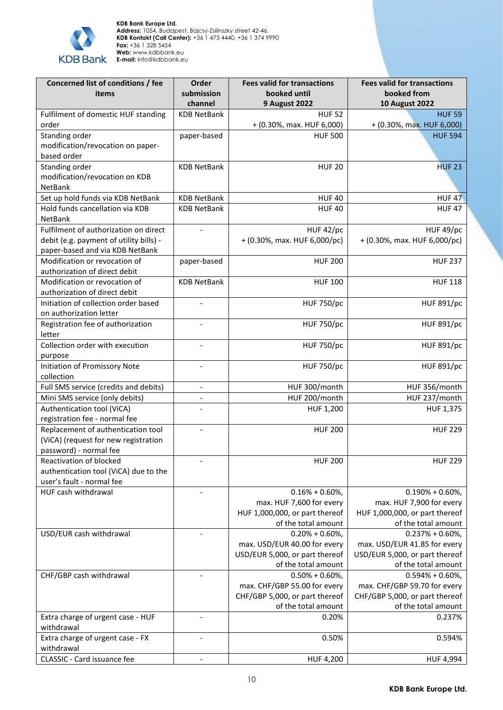

| Concerned list of conditions / fee<br>items | Order<br>submission          | <b>Fees valid for transactions</b><br>booked until | <b>Fees valid for transactions</b><br>booked from |
|---------------------------------------------|------------------------------|----------------------------------------------------|---------------------------------------------------|
|                                             | channel                      | <b>9 August 2022</b>                               | <b>10 August 2022</b>                             |
| Fulfilment of domestic HUF standing         | <b>KDB NetBank</b>           | <b>HUF 52</b>                                      | <b>HUF 59</b>                                     |
| order                                       |                              | + (0.30%, max. HUF 6,000)                          | + (0.30%, max. HUF 6,000)                         |
| Standing order                              | paper-based                  | <b>HUF 500</b>                                     | <b>HUF 594</b>                                    |
| modification/revocation on paper-           |                              |                                                    |                                                   |
| based order                                 |                              |                                                    |                                                   |
| Standing order                              | <b>KDB NetBank</b>           | <b>HUF 20</b>                                      | <b>HUF 23</b>                                     |
| modification/revocation on KDB              |                              |                                                    |                                                   |
| <b>NetBank</b>                              |                              |                                                    |                                                   |
| Set up hold funds via KDB NetBank           | <b>KDB NetBank</b>           | <b>HUF 40</b>                                      | <b>HUF47</b>                                      |
| Hold funds cancellation via KDB             | <b>KDB NetBank</b>           | <b>HUF 40</b>                                      | <b>HUF 47</b>                                     |
| <b>NetBank</b>                              |                              |                                                    |                                                   |
| Fulfilment of authorization on direct       |                              | HUF 42/pc                                          | HUF 49/pc                                         |
| debit (e.g. payment of utility bills) -     |                              | + (0.30%, max. HUF 6,000/pc)                       | + (0.30%, max. HUF 6,000/pc)                      |
| paper-based and via KDB NetBank             |                              |                                                    |                                                   |
| Modification or revocation of               | paper-based                  | <b>HUF 200</b>                                     | <b>HUF 237</b>                                    |
| authorization of direct debit               |                              |                                                    |                                                   |
| Modification or revocation of               | <b>KDB NetBank</b>           | <b>HUF 100</b>                                     | <b>HUF 118</b>                                    |
| authorization of direct debit               |                              |                                                    |                                                   |
| Initiation of collection order based        |                              | <b>HUF 750/pc</b>                                  | <b>HUF 891/pc</b>                                 |
| on authorization letter                     |                              |                                                    |                                                   |
| Registration fee of authorization           | $\overline{a}$               | <b>HUF 750/pc</b>                                  | <b>HUF 891/pc</b>                                 |
| letter                                      |                              |                                                    |                                                   |
| Collection order with execution             | $\overline{a}$               | <b>HUF 750/pc</b>                                  | <b>HUF 891/pc</b>                                 |
| purpose                                     |                              |                                                    |                                                   |
| Initiation of Promissory Note               | $\overline{\phantom{0}}$     | <b>HUF 750/pc</b>                                  | <b>HUF 891/pc</b>                                 |
| collection                                  |                              |                                                    |                                                   |
| Full SMS service (credits and debits)       | $\qquad \qquad \blacksquare$ | HUF 300/month                                      | HUF 356/month                                     |
| Mini SMS service (only debits)              | $\overline{\phantom{a}}$     | HUF 200/month                                      | HUF 237/month                                     |
| Authentication tool (ViCA)                  |                              | HUF 1,200                                          | HUF 1,375                                         |
| registration fee - normal fee               |                              |                                                    |                                                   |
| Replacement of authentication tool          |                              | <b>HUF 200</b>                                     | <b>HUF 229</b>                                    |
| (ViCA) (request for new registration        |                              |                                                    |                                                   |
| password) - normal fee                      |                              |                                                    |                                                   |
| Reactivation of blocked                     |                              | <b>HUF 200</b>                                     | <b>HUF 229</b>                                    |
| authentication tool (ViCA) due to the       |                              |                                                    |                                                   |
| user's fault - normal fee                   |                              |                                                    |                                                   |
| HUF cash withdrawal                         | $\overline{\phantom{a}}$     | $0.16\% + 0.60\%$                                  | $0.190\% + 0.60\%$                                |
|                                             |                              | max. HUF 7,600 for every                           | max. HUF 7,900 for every                          |
|                                             |                              | HUF 1,000,000, or part thereof                     | HUF 1,000,000, or part thereof                    |
|                                             |                              | of the total amount                                | of the total amount                               |
| USD/EUR cash withdrawal                     |                              | $0.20\% + 0.60\%$                                  | $0.237% + 0.60%$                                  |
|                                             |                              | max. USD/EUR 40.00 for every                       | max. USD/EUR 41.85 for every                      |
|                                             |                              | USD/EUR 5,000, or part thereof                     | USD/EUR 5,000, or part thereof                    |
|                                             |                              | of the total amount                                | of the total amount                               |
| CHF/GBP cash withdrawal                     |                              | $0.50\% + 0.60\%$                                  | $0.594\% + 0.60\%$                                |
|                                             |                              | max. CHF/GBP 55.00 for every                       | max. CHF/GBP 59.70 for every                      |
|                                             |                              | CHF/GBP 5,000, or part thereof                     | CHF/GBP 5,000, or part thereof                    |
|                                             |                              | of the total amount                                | of the total amount                               |
| Extra charge of urgent case - HUF           | $\overline{\phantom{0}}$     | 0.20%                                              | 0.237%                                            |
| withdrawal                                  |                              |                                                    |                                                   |
| Extra charge of urgent case - FX            | $\qquad \qquad \blacksquare$ | 0.50%                                              | 0.594%                                            |
| withdrawal                                  |                              |                                                    |                                                   |
| CLASSIC - Card issuance fee                 | $\overline{\phantom{a}}$     | <b>HUF 4,200</b>                                   | HUF 4,994                                         |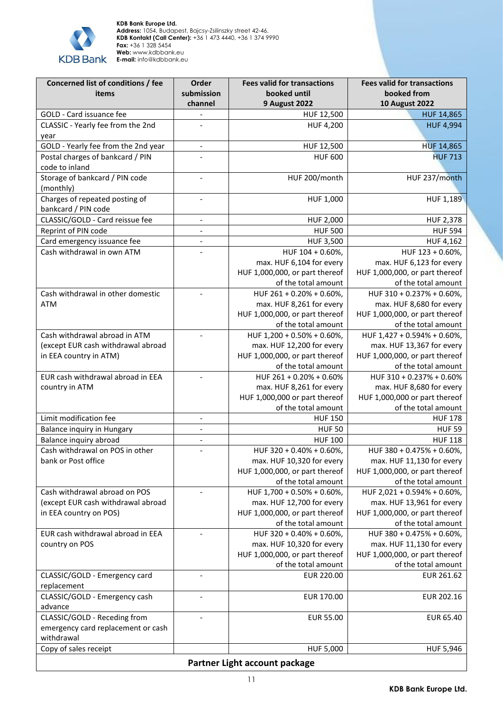

| Concerned list of conditions / fee              | Order                        | <b>Fees valid for transactions</b>                         | <b>Fees valid for transactions</b>                    |
|-------------------------------------------------|------------------------------|------------------------------------------------------------|-------------------------------------------------------|
| items                                           | submission                   | booked until                                               | booked from                                           |
|                                                 | channel                      | <b>9 August 2022</b>                                       | <b>10 August 2022</b>                                 |
| GOLD - Card issuance fee                        |                              | HUF 12,500                                                 | <b>HUF 14,865</b>                                     |
| CLASSIC - Yearly fee from the 2nd               |                              | HUF 4,200                                                  | <b>HUF 4,994</b>                                      |
| year                                            |                              |                                                            |                                                       |
| GOLD - Yearly fee from the 2nd year             | $\qquad \qquad -$            | HUF 12,500                                                 | <b>HUF 14,865</b>                                     |
| Postal charges of bankcard / PIN                |                              | <b>HUF 600</b>                                             | <b>HUF 713</b>                                        |
| code to inland                                  |                              |                                                            |                                                       |
| Storage of bankcard / PIN code                  |                              | HUF 200/month                                              | HUF 237/month                                         |
| (monthly)                                       |                              |                                                            |                                                       |
| Charges of repeated posting of                  |                              | HUF 1,000                                                  | <b>HUF 1,189</b>                                      |
| bankcard / PIN code                             |                              |                                                            |                                                       |
| CLASSIC/GOLD - Card reissue fee                 | $\qquad \qquad \blacksquare$ | HUF 2,000                                                  | <b>HUF 2,378</b>                                      |
| Reprint of PIN code                             | $\overline{\phantom{a}}$     | <b>HUF 500</b>                                             | <b>HUF 594</b>                                        |
| Card emergency issuance fee                     | $\overline{a}$               | <b>HUF 3,500</b>                                           | HUF 4,162                                             |
| Cash withdrawal in own ATM                      |                              | HUF 104 + 0.60%,                                           | HUF 123 + 0.60%,                                      |
|                                                 |                              | max. HUF 6,104 for every                                   | max. HUF 6,123 for every                              |
|                                                 |                              | HUF 1,000,000, or part thereof                             | HUF 1,000,000, or part thereof                        |
|                                                 |                              | of the total amount                                        | of the total amount                                   |
| Cash withdrawal in other domestic<br><b>ATM</b> |                              | HUF 261 + 0.20% + 0.60%,                                   | HUF 310 + 0.237% + 0.60%,                             |
|                                                 |                              | max. HUF 8,261 for every<br>HUF 1,000,000, or part thereof | max. HUF 8,680 for every                              |
|                                                 |                              | of the total amount                                        | HUF 1,000,000, or part thereof<br>of the total amount |
| Cash withdrawal abroad in ATM                   |                              | HUF 1,200 + 0.50% + 0.60%,                                 | HUF 1,427 + 0.594% + 0.60%,                           |
| (except EUR cash withdrawal abroad              |                              | max. HUF 12,200 for every                                  | max. HUF 13,367 for every                             |
| in EEA country in ATM)                          |                              | HUF 1,000,000, or part thereof                             | HUF 1,000,000, or part thereof                        |
|                                                 |                              | of the total amount                                        | of the total amount                                   |
| EUR cash withdrawal abroad in EEA               | $\overline{\phantom{a}}$     | HUF 261 + 0.20% + 0.60%                                    | HUF 310 + 0.237% + 0.60%                              |
| country in ATM                                  |                              | max. HUF 8,261 for every                                   | max. HUF 8,680 for every                              |
|                                                 |                              | HUF 1,000,000 or part thereof                              | HUF 1,000,000 or part thereof                         |
|                                                 |                              | of the total amount                                        | of the total amount                                   |
| Limit modification fee                          |                              | <b>HUF 150</b>                                             | <b>HUF 178</b>                                        |
| Balance inquiry in Hungary                      | $\qquad \qquad \blacksquare$ | <b>HUF 50</b>                                              | <b>HUF 59</b>                                         |
| Balance inquiry abroad                          | $\qquad \qquad \blacksquare$ | <b>HUF 100</b>                                             | <b>HUF 118</b>                                        |
| Cash withdrawal on POS in other                 | $\overline{\phantom{a}}$     | HUF 320 + 0.40% + 0.60%,                                   | HUF 380 + 0.475% + 0.60%,                             |
| bank or Post office                             |                              | max. HUF 10,320 for every                                  | max. HUF 11,130 for every                             |
|                                                 |                              | HUF 1,000,000, or part thereof                             | HUF 1,000,000, or part thereof                        |
|                                                 |                              | of the total amount                                        | of the total amount                                   |
| Cash withdrawal abroad on POS                   |                              | HUF 1,700 + 0.50% + 0.60%,                                 | HUF 2,021 + 0.594% + 0.60%,                           |
| (except EUR cash withdrawal abroad              |                              | max. HUF 12,700 for every                                  | max. HUF 13,961 for every                             |
| in EEA country on POS)                          |                              | HUF 1,000,000, or part thereof                             | HUF 1,000,000, or part thereof                        |
|                                                 |                              | of the total amount                                        | of the total amount                                   |
| EUR cash withdrawal abroad in EEA               |                              | HUF 320 + 0.40% + 0.60%,                                   | HUF 380 + 0.475% + 0.60%,                             |
| country on POS                                  |                              | max. HUF 10,320 for every                                  | max. HUF 11,130 for every                             |
|                                                 |                              | HUF 1,000,000, or part thereof                             | HUF 1,000,000, or part thereof                        |
|                                                 |                              | of the total amount                                        | of the total amount                                   |
| CLASSIC/GOLD - Emergency card                   | $\overline{a}$               | EUR 220.00                                                 | EUR 261.62                                            |
| replacement                                     |                              |                                                            |                                                       |
| CLASSIC/GOLD - Emergency cash                   |                              | EUR 170.00                                                 | EUR 202.16                                            |
| advance                                         |                              |                                                            |                                                       |
| CLASSIC/GOLD - Receding from                    |                              | <b>EUR 55.00</b>                                           | EUR 65.40                                             |
| emergency card replacement or cash              |                              |                                                            |                                                       |
| withdrawal                                      |                              |                                                            |                                                       |
| Copy of sales receipt                           |                              | HUF 5,000                                                  | HUF 5,946                                             |
|                                                 |                              | Partner Light account package                              |                                                       |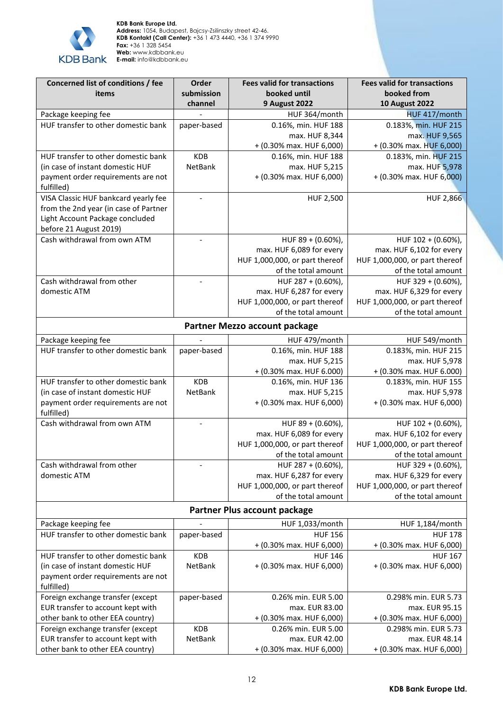

| Concerned list of conditions / fee<br>items      | Order<br>submission<br>channel | <b>Fees valid for transactions</b><br>booked until<br><b>9 August 2022</b> | <b>Fees valid for transactions</b><br>booked from<br><b>10 August 2022</b> |
|--------------------------------------------------|--------------------------------|----------------------------------------------------------------------------|----------------------------------------------------------------------------|
| Package keeping fee                              |                                | HUF 364/month                                                              | HUF 417/month                                                              |
| HUF transfer to other domestic bank              | paper-based                    | 0.16%, min. HUF 188                                                        | 0.183%, min. HUF 215                                                       |
|                                                  |                                | max. HUF 8,344                                                             | max. HUF 9,565                                                             |
|                                                  |                                | + (0.30% max. HUF 6,000)                                                   | + (0.30% max. HUF 6,000)                                                   |
| HUF transfer to other domestic bank              | <b>KDB</b>                     | 0.16%, min. HUF 188                                                        | 0.183%, min. HUF 215                                                       |
| (in case of instant domestic HUF                 | NetBank                        | max. HUF 5,215                                                             | max. HUF 5,978                                                             |
| payment order requirements are not<br>fulfilled) |                                | + (0.30% max. HUF 6,000)                                                   | + (0.30% max. HUF 6,000)                                                   |
| VISA Classic HUF bankcard yearly fee             |                                | <b>HUF 2,500</b>                                                           | <b>HUF 2,866</b>                                                           |
| from the 2nd year (in case of Partner            |                                |                                                                            |                                                                            |
| Light Account Package concluded                  |                                |                                                                            |                                                                            |
| before 21 August 2019)                           |                                |                                                                            |                                                                            |
| Cash withdrawal from own ATM                     | $\qquad \qquad \blacksquare$   | HUF 89 + (0.60%),                                                          | HUF 102 + (0.60%),                                                         |
|                                                  |                                | max. HUF 6,089 for every                                                   | max. HUF 6,102 for every                                                   |
|                                                  |                                | HUF 1,000,000, or part thereof                                             | HUF 1,000,000, or part thereof                                             |
|                                                  |                                | of the total amount                                                        | of the total amount                                                        |
| Cash withdrawal from other                       |                                | HUF 287 + (0.60%),                                                         | HUF 329 + (0.60%),                                                         |
| domestic ATM                                     |                                | max. HUF 6,287 for every                                                   | max. HUF 6,329 for every                                                   |
|                                                  |                                | HUF 1,000,000, or part thereof                                             | HUF 1,000,000, or part thereof                                             |
|                                                  |                                | of the total amount                                                        | of the total amount                                                        |
|                                                  |                                | Partner Mezzo account package                                              |                                                                            |
| Package keeping fee                              |                                | HUF 479/month                                                              | HUF 549/month                                                              |
| HUF transfer to other domestic bank              | paper-based                    | 0.16%, min. HUF 188                                                        | 0.183%, min. HUF 215                                                       |
|                                                  |                                | max. HUF 5,215                                                             | max. HUF 5,978                                                             |
|                                                  |                                | + (0.30% max. HUF 6.000)                                                   | + (0.30% max. HUF 6.000)                                                   |
| HUF transfer to other domestic bank              | <b>KDB</b>                     | 0.16%, min. HUF 136                                                        | 0.183%, min. HUF 155                                                       |
| (in case of instant domestic HUF                 | NetBank                        | max. HUF 5,215                                                             | max. HUF 5,978                                                             |
| payment order requirements are not<br>fulfilled) |                                | + (0.30% max. HUF 6,000)                                                   | + (0.30% max. HUF 6,000)                                                   |
| Cash withdrawal from own ATM                     |                                | HUF 89 + (0.60%),                                                          | HUF 102 + (0.60%),                                                         |
|                                                  |                                | max. HUF 6,089 for every                                                   | max. HUF 6,102 for every                                                   |
|                                                  |                                | HUF 1,000,000, or part thereof                                             | HUF 1,000,000, or part thereof                                             |
|                                                  |                                | of the total amount                                                        | of the total amount                                                        |
| Cash withdrawal from other                       |                                | HUF 287 + (0.60%),                                                         | HUF 329 + (0.60%),                                                         |
| domestic ATM                                     |                                | max. HUF 6,287 for every<br>HUF 1,000,000, or part thereof                 | max. HUF 6,329 for every<br>HUF 1,000,000, or part thereof                 |
|                                                  |                                | of the total amount                                                        | of the total amount                                                        |
|                                                  |                                | <b>Partner Plus account package</b>                                        |                                                                            |
| Package keeping fee                              |                                | HUF 1,033/month                                                            | HUF 1,184/month                                                            |
| HUF transfer to other domestic bank              | paper-based                    | <b>HUF 156</b>                                                             | <b>HUF 178</b>                                                             |
|                                                  |                                | + (0.30% max. HUF 6,000)                                                   | + (0.30% max. HUF 6,000)                                                   |
| HUF transfer to other domestic bank              | <b>KDB</b>                     | <b>HUF 146</b>                                                             | <b>HUF 167</b>                                                             |
| (in case of instant domestic HUF                 | NetBank                        | + (0.30% max. HUF 6,000)                                                   | + (0.30% max. HUF 6,000)                                                   |
| payment order requirements are not<br>fulfilled) |                                |                                                                            |                                                                            |
| Foreign exchange transfer (except                | paper-based                    | 0.26% min. EUR 5.00                                                        | 0.298% min. EUR 5.73                                                       |
| EUR transfer to account kept with                |                                | max. EUR 83.00                                                             | max. EUR 95.15                                                             |
| other bank to other EEA country)                 |                                | + (0.30% max. HUF 6,000)                                                   | + (0.30% max. HUF 6,000)                                                   |
| Foreign exchange transfer (except                | <b>KDB</b>                     | 0.26% min. EUR 5.00                                                        | 0.298% min. EUR 5.73                                                       |
| EUR transfer to account kept with                | NetBank                        | max. EUR 42.00                                                             | max. EUR 48.14                                                             |
| other bank to other EEA country)                 |                                | + (0.30% max. HUF 6,000)                                                   | $+$ (0.30% max. HUF 6,000)                                                 |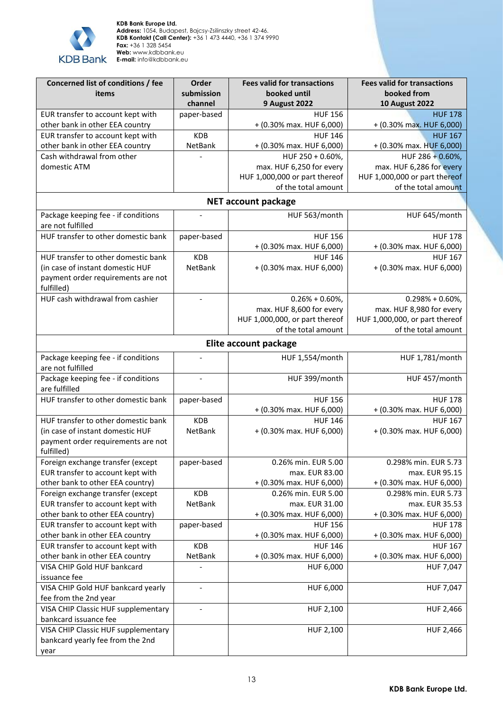

| Concerned list of conditions / fee<br>items                           | Order<br>submission<br>channel | <b>Fees valid for transactions</b><br>booked until<br><b>9 August 2022</b> | <b>Fees valid for transactions</b><br>booked from<br><b>10 August 2022</b> |  |
|-----------------------------------------------------------------------|--------------------------------|----------------------------------------------------------------------------|----------------------------------------------------------------------------|--|
| EUR transfer to account kept with                                     | paper-based                    | <b>HUF 156</b>                                                             | <b>HUF 178</b>                                                             |  |
| other bank in other EEA country                                       |                                | + (0.30% max. HUF 6,000)                                                   | + (0.30% max. HUF 6,000)                                                   |  |
| EUR transfer to account kept with                                     | <b>KDB</b>                     | <b>HUF 146</b>                                                             | <b>HUF 167</b>                                                             |  |
| other bank in other EEA country                                       | NetBank                        | + (0.30% max. HUF 6,000)                                                   | + (0.30% max. HUF 6,000)                                                   |  |
| Cash withdrawal from other                                            |                                | HUF 250 + 0.60%,                                                           | HUF 286 + 0.60%,                                                           |  |
| domestic ATM                                                          |                                | max. HUF 6,250 for every                                                   | max. HUF 6,286 for every                                                   |  |
|                                                                       |                                | HUF 1,000,000 or part thereof                                              | HUF 1,000,000 or part thereof                                              |  |
|                                                                       |                                | of the total amount                                                        | of the total amount                                                        |  |
| <b>NET account package</b>                                            |                                |                                                                            |                                                                            |  |
| Package keeping fee - if conditions                                   |                                | HUF 563/month                                                              | HUF 645/month                                                              |  |
| are not fulfilled                                                     |                                |                                                                            |                                                                            |  |
| HUF transfer to other domestic bank                                   | paper-based                    | <b>HUF 156</b>                                                             | <b>HUF 178</b>                                                             |  |
|                                                                       |                                | + (0.30% max. HUF 6,000)                                                   | + (0.30% max. HUF 6,000)                                                   |  |
| HUF transfer to other domestic bank                                   | <b>KDB</b>                     | <b>HUF 146</b>                                                             | <b>HUF 167</b>                                                             |  |
| (in case of instant domestic HUF                                      | NetBank                        | + (0.30% max. HUF 6,000)                                                   | + (0.30% max. HUF 6,000)                                                   |  |
| payment order requirements are not<br>fulfilled)                      |                                |                                                                            |                                                                            |  |
| HUF cash withdrawal from cashier                                      | $\overline{a}$                 | $0.26\% + 0.60\%$                                                          | $0.298% + 0.60%$                                                           |  |
|                                                                       |                                | max. HUF 8,600 for every                                                   | max. HUF 8,980 for every                                                   |  |
|                                                                       |                                | HUF 1,000,000, or part thereof                                             | HUF 1,000,000, or part thereof                                             |  |
|                                                                       |                                | of the total amount                                                        | of the total amount                                                        |  |
| Elite account package                                                 |                                |                                                                            |                                                                            |  |
| Package keeping fee - if conditions<br>are not fulfilled              |                                | HUF 1,554/month                                                            | HUF 1,781/month                                                            |  |
| Package keeping fee - if conditions<br>are fulfilled                  |                                | HUF 399/month                                                              | HUF 457/month                                                              |  |
| HUF transfer to other domestic bank                                   | paper-based                    | <b>HUF 156</b>                                                             | <b>HUF 178</b>                                                             |  |
|                                                                       |                                | + (0.30% max. HUF 6,000)                                                   | + (0.30% max. HUF 6,000)                                                   |  |
| HUF transfer to other domestic bank                                   | <b>KDB</b>                     | <b>HUF 146</b>                                                             | <b>HUF 167</b>                                                             |  |
| (in case of instant domestic HUF                                      | NetBank                        | + (0.30% max. HUF 6,000)                                                   | + (0.30% max. HUF 6,000)                                                   |  |
| payment order requirements are not                                    |                                |                                                                            |                                                                            |  |
| fulfilled)                                                            |                                |                                                                            |                                                                            |  |
| Foreign exchange transfer (except                                     | paper-based                    | 0.26% min. EUR 5.00                                                        | 0.298% min. EUR 5.73                                                       |  |
| EUR transfer to account kept with                                     |                                | max. EUR 83.00                                                             | max. EUR 95.15                                                             |  |
| other bank to other EEA country)                                      |                                | + (0.30% max. HUF 6,000)                                                   | + (0.30% max. HUF 6,000)                                                   |  |
| Foreign exchange transfer (except                                     | <b>KDB</b>                     | 0.26% min. EUR 5.00                                                        | 0.298% min. EUR 5.73<br>max. EUR 35.53                                     |  |
| EUR transfer to account kept with<br>other bank to other EEA country) | NetBank                        | max. EUR 31.00<br>+ (0.30% max. HUF 6,000)                                 | + (0.30% max. HUF 6,000)                                                   |  |
| EUR transfer to account kept with                                     |                                |                                                                            |                                                                            |  |
| other bank in other EEA country                                       | paper-based                    | <b>HUF 156</b><br>+ (0.30% max. HUF 6,000)                                 | <b>HUF 178</b><br>+ (0.30% max. HUF 6,000)                                 |  |
| EUR transfer to account kept with                                     | <b>KDB</b>                     | <b>HUF 146</b>                                                             | <b>HUF 167</b>                                                             |  |
| other bank in other EEA country                                       | NetBank                        | + (0.30% max. HUF 6,000)                                                   | + (0.30% max. HUF 6,000)                                                   |  |
| VISA CHIP Gold HUF bankcard                                           |                                | HUF 6,000                                                                  | HUF 7,047                                                                  |  |
| issuance fee                                                          |                                |                                                                            |                                                                            |  |
| VISA CHIP Gold HUF bankcard yearly                                    | $\qquad \qquad \blacksquare$   | HUF 6,000                                                                  | HUF 7,047                                                                  |  |
| fee from the 2nd year                                                 |                                |                                                                            |                                                                            |  |
| VISA CHIP Classic HUF supplementary                                   |                                | HUF 2,100                                                                  | HUF 2,466                                                                  |  |
| bankcard issuance fee                                                 |                                |                                                                            |                                                                            |  |
| VISA CHIP Classic HUF supplementary                                   |                                | HUF 2,100                                                                  | HUF 2,466                                                                  |  |
| bankcard yearly fee from the 2nd                                      |                                |                                                                            |                                                                            |  |
| year                                                                  |                                |                                                                            |                                                                            |  |